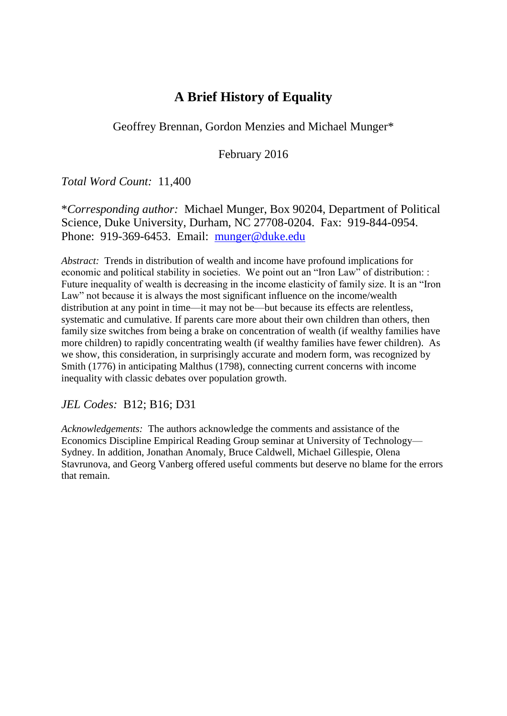# **A Brief History of Equality**

Geoffrey Brennan, Gordon Menzies and Michael Munger\*

February 2016

*Total Word Count:* 11,400

\**Corresponding author:* Michael Munger, Box 90204, Department of Political Science, Duke University, Durham, NC 27708-0204. Fax: 919-844-0954. Phone: 919-369-6453. Email: [munger@duke.edu](mailto:munger@duke.edu)

*Abstract:* Trends in distribution of wealth and income have profound implications for economic and political stability in societies. We point out an "Iron Law" of distribution: : Future inequality of wealth is decreasing in the income elasticity of family size. It is an "Iron Law" not because it is always the most significant influence on the income/wealth distribution at any point in time—it may not be—but because its effects are relentless, systematic and cumulative. If parents care more about their own children than others, then family size switches from being a brake on concentration of wealth (if wealthy families have more children) to rapidly concentrating wealth (if wealthy families have fewer children). As we show, this consideration, in surprisingly accurate and modern form, was recognized by Smith (1776) in anticipating Malthus (1798), connecting current concerns with income inequality with classic debates over population growth.

## *JEL Codes:* B12; B16; D31

*Acknowledgements:* The authors acknowledge the comments and assistance of the Economics Discipline Empirical Reading Group seminar at University of Technology— Sydney. In addition, Jonathan Anomaly, Bruce Caldwell, Michael Gillespie, Olena Stavrunova, and Georg Vanberg offered useful comments but deserve no blame for the errors that remain.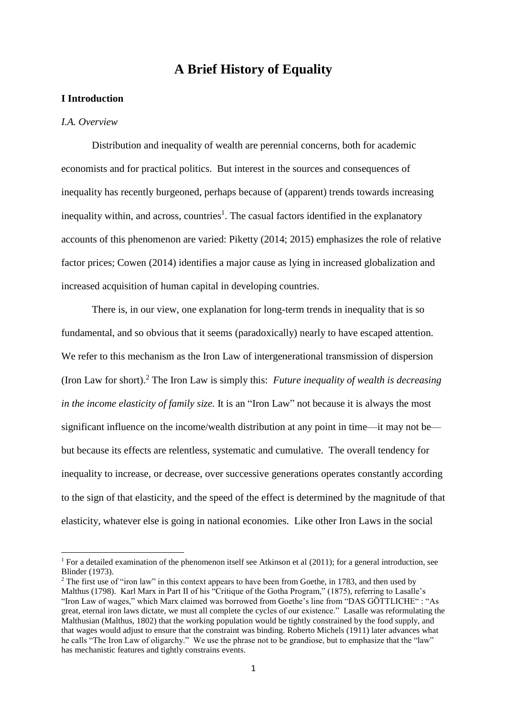## **A Brief History of Equality**

## **I Introduction**

#### *I.A. Overview*

**.** 

Distribution and inequality of wealth are perennial concerns, both for academic economists and for practical politics. But interest in the sources and consequences of inequality has recently burgeoned, perhaps because of (apparent) trends towards increasing inequality within, and across, countries<sup>1</sup>. The casual factors identified in the explanatory accounts of this phenomenon are varied: Piketty (2014; 2015) emphasizes the role of relative factor prices; Cowen (2014) identifies a major cause as lying in increased globalization and increased acquisition of human capital in developing countries.

There is, in our view, one explanation for long-term trends in inequality that is so fundamental, and so obvious that it seems (paradoxically) nearly to have escaped attention. We refer to this mechanism as the Iron Law of intergenerational transmission of dispersion (Iron Law for short).<sup>2</sup> The Iron Law is simply this: *Future inequality of wealth is decreasing in the income elasticity of family size.* It is an "Iron Law" not because it is always the most significant influence on the income/wealth distribution at any point in time—it may not be but because its effects are relentless, systematic and cumulative. The overall tendency for inequality to increase, or decrease, over successive generations operates constantly according to the sign of that elasticity, and the speed of the effect is determined by the magnitude of that elasticity, whatever else is going in national economies. Like other Iron Laws in the social

<sup>&</sup>lt;sup>1</sup> For a detailed examination of the phenomenon itself see Atkinson et al (2011); for a general introduction, see Blinder (1973).

<sup>&</sup>lt;sup>2</sup> The first use of "iron law" in this context appears to have been from Goethe, in 1783, and then used by Malthus (1798). Karl Marx in Part II of his "Critique of the Gotha Program," (1875), referring to Lasalle's "Iron Law of wages," which Marx claimed was borrowed from Goethe's line from "DAS GÖTTLICHE" : "As great, eternal iron laws dictate, we must all complete the cycles of our existence." Lasalle was reformulating the Malthusian (Malthus, 1802) that the working population would be tightly constrained by the food supply, and that wages would adjust to ensure that the constraint was binding. Roberto Michels (1911) later advances what he calls "The Iron Law of oligarchy." We use the phrase not to be grandiose, but to emphasize that the "law" has mechanistic features and tightly constrains events.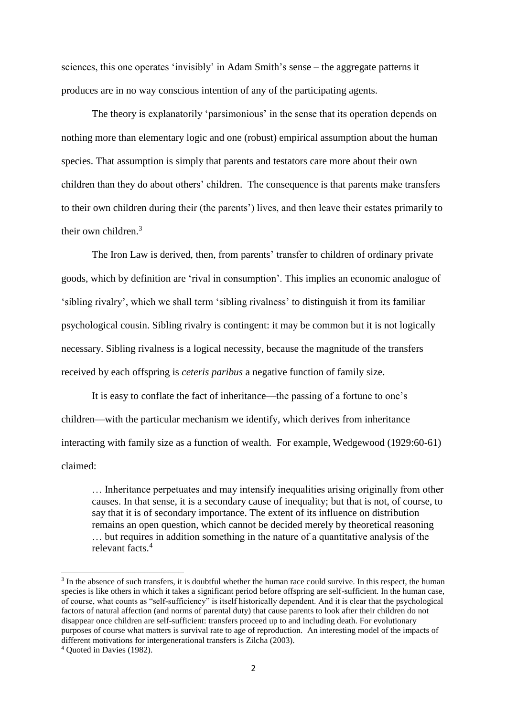sciences, this one operates 'invisibly' in Adam Smith's sense – the aggregate patterns it produces are in no way conscious intention of any of the participating agents.

The theory is explanatorily 'parsimonious' in the sense that its operation depends on nothing more than elementary logic and one (robust) empirical assumption about the human species. That assumption is simply that parents and testators care more about their own children than they do about others' children. The consequence is that parents make transfers to their own children during their (the parents') lives, and then leave their estates primarily to their own children.<sup>3</sup>

The Iron Law is derived, then, from parents' transfer to children of ordinary private goods, which by definition are 'rival in consumption'. This implies an economic analogue of 'sibling rivalry', which we shall term 'sibling rivalness' to distinguish it from its familiar psychological cousin. Sibling rivalry is contingent: it may be common but it is not logically necessary. Sibling rivalness is a logical necessity, because the magnitude of the transfers received by each offspring is *ceteris paribus* a negative function of family size.

It is easy to conflate the fact of inheritance—the passing of a fortune to one's children—with the particular mechanism we identify, which derives from inheritance interacting with family size as a function of wealth. For example, Wedgewood (1929:60-61) claimed:

… Inheritance perpetuates and may intensify inequalities arising originally from other causes. In that sense, it is a secondary cause of inequality; but that is not, of course, to say that it is of secondary importance. The extent of its influence on distribution remains an open question, which cannot be decided merely by theoretical reasoning … but requires in addition something in the nature of a quantitative analysis of the relevant facts<sup>4</sup>

 $3$  In the absence of such transfers, it is doubtful whether the human race could survive. In this respect, the human species is like others in which it takes a significant period before offspring are self-sufficient. In the human case, of course, what counts as "self-sufficiency" is itself historically dependent. And it is clear that the psychological factors of natural affection (and norms of parental duty) that cause parents to look after their children do not disappear once children are self-sufficient: transfers proceed up to and including death. For evolutionary purposes of course what matters is survival rate to age of reproduction. An interesting model of the impacts of different motivations for intergenerational transfers is Zilcha (2003).

<sup>4</sup> Quoted in Davies (1982).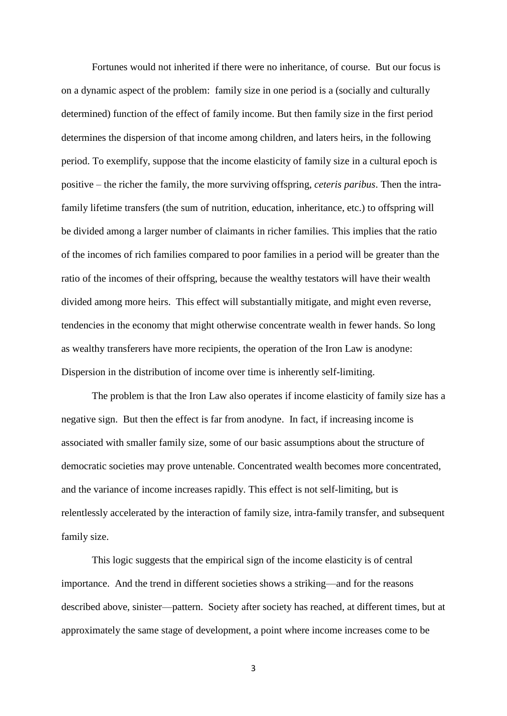Fortunes would not inherited if there were no inheritance, of course. But our focus is on a dynamic aspect of the problem: family size in one period is a (socially and culturally determined) function of the effect of family income. But then family size in the first period determines the dispersion of that income among children, and laters heirs, in the following period. To exemplify, suppose that the income elasticity of family size in a cultural epoch is positive – the richer the family, the more surviving offspring, *ceteris paribus*. Then the intrafamily lifetime transfers (the sum of nutrition, education, inheritance, etc.) to offspring will be divided among a larger number of claimants in richer families. This implies that the ratio of the incomes of rich families compared to poor families in a period will be greater than the ratio of the incomes of their offspring, because the wealthy testators will have their wealth divided among more heirs. This effect will substantially mitigate, and might even reverse, tendencies in the economy that might otherwise concentrate wealth in fewer hands. So long as wealthy transferers have more recipients, the operation of the Iron Law is anodyne: Dispersion in the distribution of income over time is inherently self-limiting.

The problem is that the Iron Law also operates if income elasticity of family size has a negative sign. But then the effect is far from anodyne. In fact, if increasing income is associated with smaller family size, some of our basic assumptions about the structure of democratic societies may prove untenable. Concentrated wealth becomes more concentrated, and the variance of income increases rapidly. This effect is not self-limiting, but is relentlessly accelerated by the interaction of family size, intra-family transfer, and subsequent family size.

This logic suggests that the empirical sign of the income elasticity is of central importance. And the trend in different societies shows a striking—and for the reasons described above, sinister—pattern. Society after society has reached, at different times, but at approximately the same stage of development, a point where income increases come to be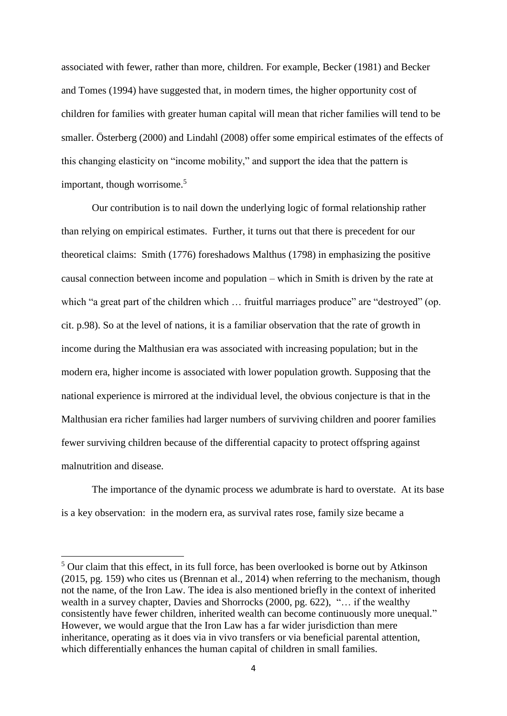associated with fewer, rather than more, children. For example, Becker (1981) and Becker and Tomes (1994) have suggested that, in modern times, the higher opportunity cost of children for families with greater human capital will mean that richer families will tend to be smaller. Österberg (2000) and Lindahl (2008) offer some empirical estimates of the effects of this changing elasticity on "income mobility," and support the idea that the pattern is important, though worrisome.<sup>5</sup>

Our contribution is to nail down the underlying logic of formal relationship rather than relying on empirical estimates. Further, it turns out that there is precedent for our theoretical claims: Smith (1776) foreshadows Malthus (1798) in emphasizing the positive causal connection between income and population – which in Smith is driven by the rate at which "a great part of the children which ... fruitful marriages produce" are "destroyed" (op. cit. p.98). So at the level of nations, it is a familiar observation that the rate of growth in income during the Malthusian era was associated with increasing population; but in the modern era, higher income is associated with lower population growth. Supposing that the national experience is mirrored at the individual level, the obvious conjecture is that in the Malthusian era richer families had larger numbers of surviving children and poorer families fewer surviving children because of the differential capacity to protect offspring against malnutrition and disease.

The importance of the dynamic process we adumbrate is hard to overstate. At its base is a key observation: in the modern era, as survival rates rose, family size became a

<sup>&</sup>lt;sup>5</sup> Our claim that this effect, in its full force, has been overlooked is borne out by Atkinson (2015, pg. 159) who cites us (Brennan et al., 2014) when referring to the mechanism, though not the name, of the Iron Law. The idea is also mentioned briefly in the context of inherited wealth in a survey chapter, Davies and Shorrocks (2000, pg. 622), "… if the wealthy consistently have fewer children, inherited wealth can become continuously more unequal." However, we would argue that the Iron Law has a far wider jurisdiction than mere inheritance, operating as it does via in vivo transfers or via beneficial parental attention, which differentially enhances the human capital of children in small families.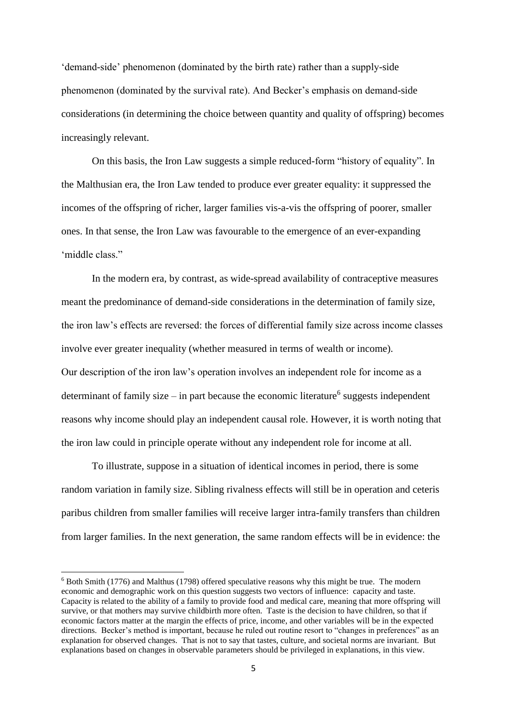'demand-side' phenomenon (dominated by the birth rate) rather than a supply-side phenomenon (dominated by the survival rate). And Becker's emphasis on demand-side considerations (in determining the choice between quantity and quality of offspring) becomes increasingly relevant.

On this basis, the Iron Law suggests a simple reduced-form "history of equality". In the Malthusian era, the Iron Law tended to produce ever greater equality: it suppressed the incomes of the offspring of richer, larger families vis-a-vis the offspring of poorer, smaller ones. In that sense, the Iron Law was favourable to the emergence of an ever-expanding 'middle class."

In the modern era, by contrast, as wide-spread availability of contraceptive measures meant the predominance of demand-side considerations in the determination of family size, the iron law's effects are reversed: the forces of differential family size across income classes involve ever greater inequality (whether measured in terms of wealth or income). Our description of the iron law's operation involves an independent role for income as a determinant of family size  $-$  in part because the economic literature<sup>6</sup> suggests independent reasons why income should play an independent causal role. However, it is worth noting that the iron law could in principle operate without any independent role for income at all.

To illustrate, suppose in a situation of identical incomes in period, there is some random variation in family size. Sibling rivalness effects will still be in operation and ceteris paribus children from smaller families will receive larger intra-family transfers than children from larger families. In the next generation, the same random effects will be in evidence: the

<sup>6</sup> Both Smith (1776) and Malthus (1798) offered speculative reasons why this might be true. The modern economic and demographic work on this question suggests two vectors of influence: capacity and taste. Capacity is related to the ability of a family to provide food and medical care, meaning that more offspring will survive, or that mothers may survive childbirth more often. Taste is the decision to have children, so that if economic factors matter at the margin the effects of price, income, and other variables will be in the expected directions. Becker's method is important, because he ruled out routine resort to "changes in preferences" as an explanation for observed changes. That is not to say that tastes, culture, and societal norms are invariant. But explanations based on changes in observable parameters should be privileged in explanations, in this view.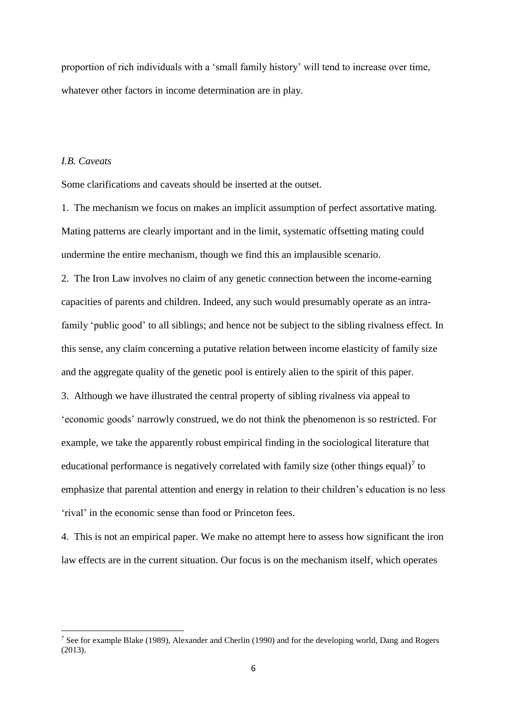proportion of rich individuals with a 'small family history' will tend to increase over time, whatever other factors in income determination are in play.

### *I.B. Caveats*

1

Some clarifications and caveats should be inserted at the outset.

1. The mechanism we focus on makes an implicit assumption of perfect assortative mating. Mating patterns are clearly important and in the limit, systematic offsetting mating could undermine the entire mechanism, though we find this an implausible scenario.

2. The Iron Law involves no claim of any genetic connection between the income-earning capacities of parents and children. Indeed, any such would presumably operate as an intrafamily 'public good' to all siblings; and hence not be subject to the sibling rivalness effect. In this sense, any claim concerning a putative relation between income elasticity of family size and the aggregate quality of the genetic pool is entirely alien to the spirit of this paper. 3. Although we have illustrated the central property of sibling rivalness via appeal to 'economic goods' narrowly construed, we do not think the phenomenon is so restricted. For example, we take the apparently robust empirical finding in the sociological literature that educational performance is negatively correlated with family size (other things equal)<sup>7</sup> to emphasize that parental attention and energy in relation to their children's education is no less 'rival' in the economic sense than food or Princeton fees.

4. This is not an empirical paper. We make no attempt here to assess how significant the iron law effects are in the current situation. Our focus is on the mechanism itself, which operates

<sup>7</sup> See for example Blake (1989), Alexander and Cherlin (1990) and for the developing world, Dang and Rogers (2013).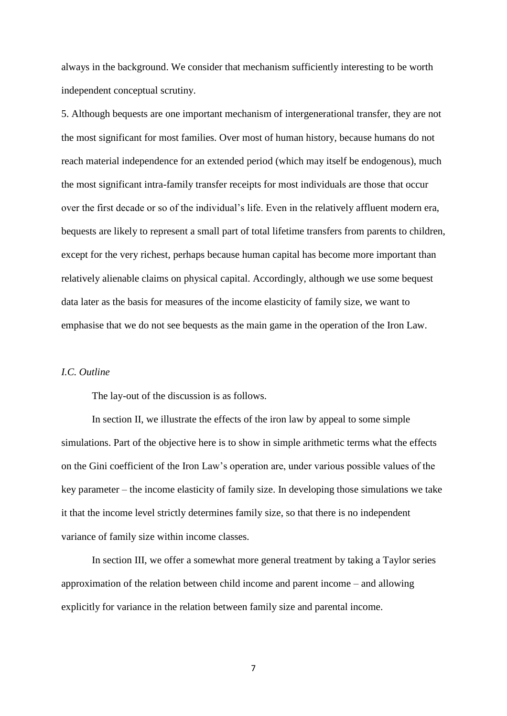always in the background. We consider that mechanism sufficiently interesting to be worth independent conceptual scrutiny.

5. Although bequests are one important mechanism of intergenerational transfer, they are not the most significant for most families. Over most of human history, because humans do not reach material independence for an extended period (which may itself be endogenous), much the most significant intra-family transfer receipts for most individuals are those that occur over the first decade or so of the individual's life. Even in the relatively affluent modern era, bequests are likely to represent a small part of total lifetime transfers from parents to children, except for the very richest, perhaps because human capital has become more important than relatively alienable claims on physical capital. Accordingly, although we use some bequest data later as the basis for measures of the income elasticity of family size, we want to emphasise that we do not see bequests as the main game in the operation of the Iron Law.

## *I.C. Outline*

The lay-out of the discussion is as follows.

In section II, we illustrate the effects of the iron law by appeal to some simple simulations. Part of the objective here is to show in simple arithmetic terms what the effects on the Gini coefficient of the Iron Law's operation are, under various possible values of the key parameter – the income elasticity of family size. In developing those simulations we take it that the income level strictly determines family size, so that there is no independent variance of family size within income classes.

In section III, we offer a somewhat more general treatment by taking a Taylor series approximation of the relation between child income and parent income – and allowing explicitly for variance in the relation between family size and parental income.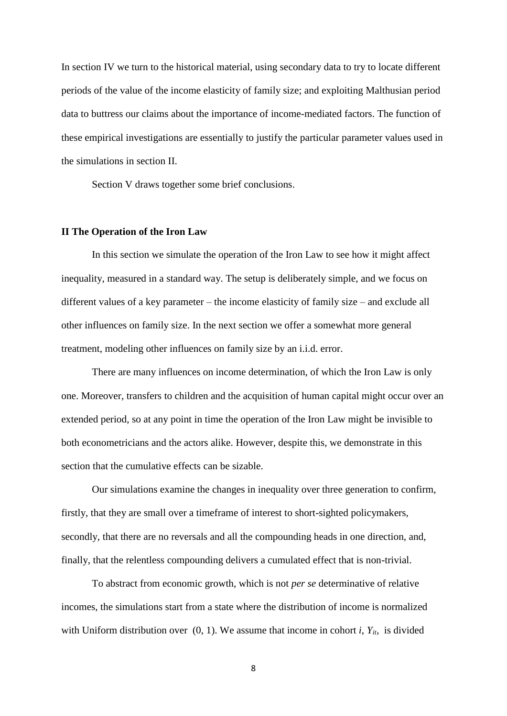In section IV we turn to the historical material, using secondary data to try to locate different periods of the value of the income elasticity of family size; and exploiting Malthusian period data to buttress our claims about the importance of income-mediated factors. The function of these empirical investigations are essentially to justify the particular parameter values used in the simulations in section II.

Section V draws together some brief conclusions.

#### **II The Operation of the Iron Law**

In this section we simulate the operation of the Iron Law to see how it might affect inequality, measured in a standard way. The setup is deliberately simple, and we focus on different values of a key parameter – the income elasticity of family size – and exclude all other influences on family size. In the next section we offer a somewhat more general treatment, modeling other influences on family size by an i.i.d. error.

There are many influences on income determination, of which the Iron Law is only one. Moreover, transfers to children and the acquisition of human capital might occur over an extended period, so at any point in time the operation of the Iron Law might be invisible to both econometricians and the actors alike. However, despite this, we demonstrate in this section that the cumulative effects can be sizable.

Our simulations examine the changes in inequality over three generation to confirm, firstly, that they are small over a timeframe of interest to short-sighted policymakers, secondly, that there are no reversals and all the compounding heads in one direction, and, finally, that the relentless compounding delivers a cumulated effect that is non-trivial.

To abstract from economic growth, which is not *per se* determinative of relative incomes, the simulations start from a state where the distribution of income is normalized with Uniform distribution over  $(0, 1)$ . We assume that income in cohort *i*,  $Y_{it}$  is divided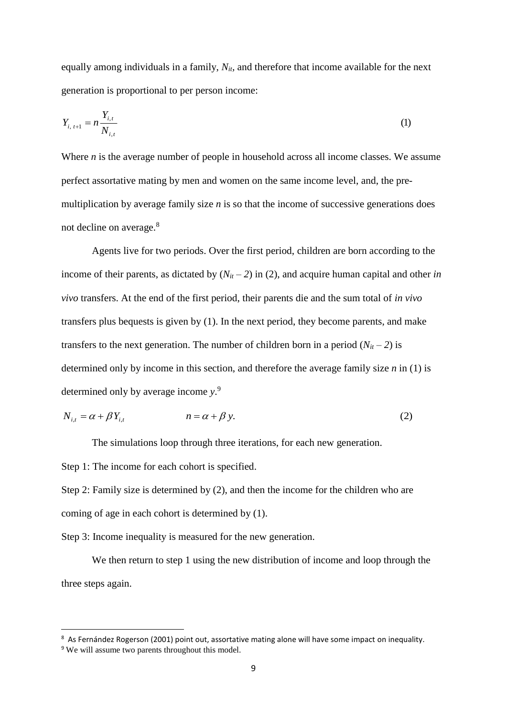equally among individuals in a family, *Nit,* and therefore that income available for the next generation is proportional to per person income:

$$
Y_{i, t+1} = n \frac{Y_{i, t}}{N_{i, t}}
$$
 (1)

Where *n* is the average number of people in household across all income classes. We assume perfect assortative mating by men and women on the same income level, and, the premultiplication by average family size *n* is so that the income of successive generations does not decline on average.<sup>8</sup>

Agents live for two periods. Over the first period, children are born according to the income of their parents, as dictated by  $(N<sub>it</sub> - 2)$  in (2), and acquire human capital and other *in vivo* transfers. At the end of the first period, their parents die and the sum total of *in vivo* transfers plus bequests is given by (1). In the next period, they become parents, and make transfers to the next generation. The number of children born in a period  $(N_{it} - 2)$  is determined only by income in this section, and therefore the average family size *n* in (1) is determined only by average income *y*. 9

$$
N_{i,t} = \alpha + \beta Y_{i,t} \qquad \qquad n = \alpha + \beta y. \tag{2}
$$

The simulations loop through three iterations, for each new generation.

Step 1: The income for each cohort is specified.

Step 2: Family size is determined by (2), and then the income for the children who are coming of age in each cohort is determined by (1).

Step 3: Income inequality is measured for the new generation.

We then return to step 1 using the new distribution of income and loop through the three steps again.

 $\overline{a}$ 

<sup>8</sup> As Fernández Rogerson (2001) point out, assortative mating alone will have some impact on inequality.

<sup>9</sup> We will assume two parents throughout this model.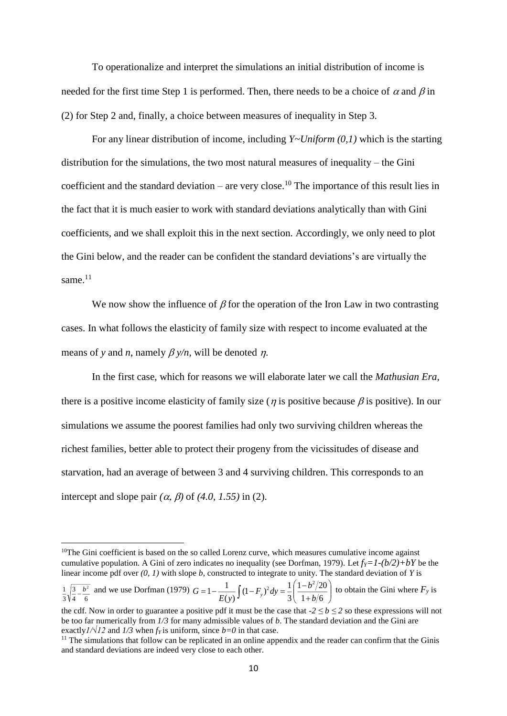To operationalize and interpret the simulations an initial distribution of income is needed for the first time Step 1 is performed. Then, there needs to be a choice of  $\alpha$  and  $\beta$  in (2) for Step 2 and, finally, a choice between measures of inequality in Step 3.

For any linear distribution of income, including *Y~Uniform (0,1)* which is the starting distribution for the simulations, the two most natural measures of inequality – the Gini coefficient and the standard deviation – are very close.<sup>10</sup> The importance of this result lies in the fact that it is much easier to work with standard deviations analytically than with Gini coefficients, and we shall exploit this in the next section. Accordingly, we only need to plot the Gini below, and the reader can be confident the standard deviations's are virtually the same.<sup>11</sup>

We now show the influence of  $\beta$  for the operation of the Iron Law in two contrasting cases. In what follows the elasticity of family size with respect to income evaluated at the means of *y* and *n*, namely  $\beta$  *y/n*, will be denoted *n*.

In the first case, which for reasons we will elaborate later we call the *Mathusian Era,* there is a positive income elasticity of family size ( $\eta$  is positive because  $\beta$  is positive). In our simulations we assume the poorest families had only two surviving children whereas the richest families, better able to protect their progeny from the vicissitudes of disease and starvation, had an average of between 3 and 4 surviving children. This corresponds to an intercept and slope pair  $(\alpha, \beta)$  of  $(4.0, 1.55)$  in (2).

 $10$ The Gini coefficient is based on the so called Lorenz curve, which measures cumulative income against cumulative population. A Gini of zero indicates no inequality (see Dorfman, 1979). Let  $f_Y = 1-(b/2)+bY$  be the linear income pdf over *(0, 1)* with slope *b,* constructed to integrate to unity. The standard deviation of *Y* is

and we use Dorfman (1979)  $G = 1 - \frac{1}{(1 - F_a)^2} dv = \frac{1}{(1 - F_a)^2} dv$  to obtain the Gini where  $F_y$  is 4 6 3 3  $\frac{1}{3}\sqrt{\frac{3}{4}-\frac{b^2}{6}}$  and we use Dorfman (1979)  $G = 1 - \frac{1}{E(y)}\int (1 - F_y)^2 dy = \frac{1}{3} \left( \frac{1 - b^2/20}{1 + b/6} \right)$ )  $\overline{\phantom{a}}$ l ſ  $^+$  $=1-\frac{1}{E(y)}\int (1-F_y)^2 dy = \frac{1}{3}\left(\frac{1-b^2/20}{1+b/6}\right)$ 3  $(1 - F_v)^2 dy = \frac{1}{2}$  $(y)$  $1 - \frac{1}{2}$ 2,  $1(1-b^2)$ *b*  $(F_v)^2 dy = \frac{1}{2} \left( \frac{1-b}{4} \right)$  $G = 1 - \frac{1}{E(y)} \int (1 - F_y)$ 

the cdf. Now in order to guarantee a positive pdf it must be the case that  $-2 \le b \le 2$  so these expressions will not be too far numerically from *1/3* for many admissible values of *b*. The standard deviation and the Gini are exactly $I/\sqrt{I^2}$  and  $I/3$  when  $f_Y$  is uniform, since  $b=0$  in that case.

<sup>&</sup>lt;sup>11</sup> The simulations that follow can be replicated in an online appendix and the reader can confirm that the Ginis and standard deviations are indeed very close to each other.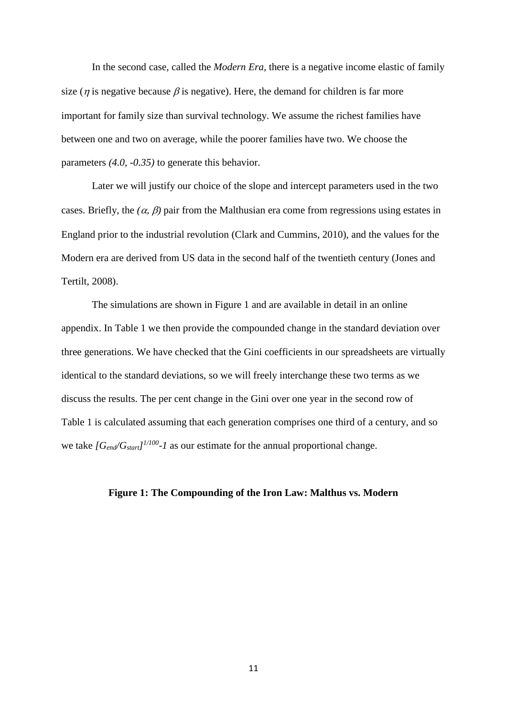In the second case, called the *Modern Era,* there is a negative income elastic of family size ( $\eta$  is negative because  $\beta$  is negative). Here, the demand for children is far more important for family size than survival technology. We assume the richest families have between one and two on average, while the poorer families have two. We choose the parameters *(4.0, -0.35)* to generate this behavior.

Later we will justify our choice of the slope and intercept parameters used in the two cases. Briefly, the  $(\alpha, \beta)$  pair from the Malthusian era come from regressions using estates in England prior to the industrial revolution (Clark and Cummins, 2010), and the values for the Modern era are derived from US data in the second half of the twentieth century (Jones and Tertilt, 2008).

The simulations are shown in Figure 1 and are available in detail in an online appendix. In Table 1 we then provide the compounded change in the standard deviation over three generations. We have checked that the Gini coefficients in our spreadsheets are virtually identical to the standard deviations, so we will freely interchange these two terms as we discuss the results. The per cent change in the Gini over one year in the second row of Table 1 is calculated assuming that each generation comprises one third of a century, and so we take  $[G_{end}/G_{start}]^{1/100}$ -1 as our estimate for the annual proportional change.

## **Figure 1: The Compounding of the Iron Law: Malthus vs. Modern**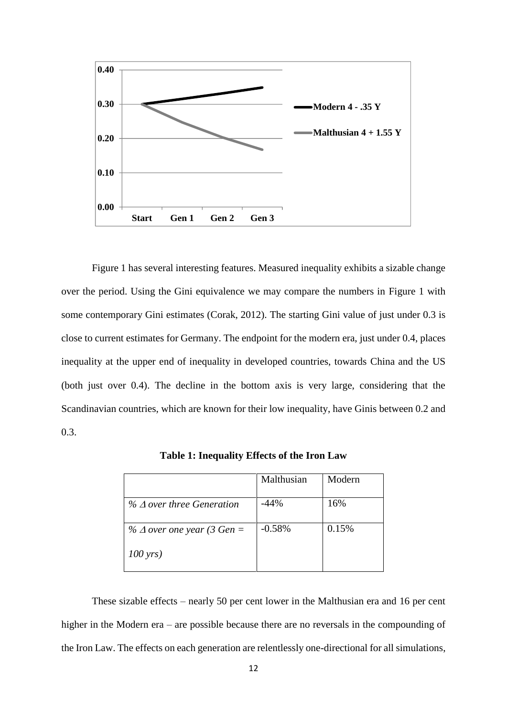

Figure 1 has several interesting features. Measured inequality exhibits a sizable change over the period. Using the Gini equivalence we may compare the numbers in Figure 1 with some contemporary Gini estimates (Corak, 2012). The starting Gini value of just under 0.3 is close to current estimates for Germany. The endpoint for the modern era, just under 0.4, places inequality at the upper end of inequality in developed countries, towards China and the US (both just over 0.4). The decline in the bottom axis is very large, considering that the Scandinavian countries, which are known for their low inequality, have Ginis between 0.2 and 0.3.

|                                     | Malthusian | Modern |
|-------------------------------------|------------|--------|
| $\%$ $\Delta$ over three Generation | $-44%$     | 16%    |
| % $\Delta$ over one year (3 Gen =   | $-0.58%$   | 0.15%  |
| $100 \,\text{yrs}$                  |            |        |

**Table 1: Inequality Effects of the Iron Law**

These sizable effects – nearly 50 per cent lower in the Malthusian era and 16 per cent higher in the Modern era – are possible because there are no reversals in the compounding of the Iron Law. The effects on each generation are relentlessly one-directional for all simulations,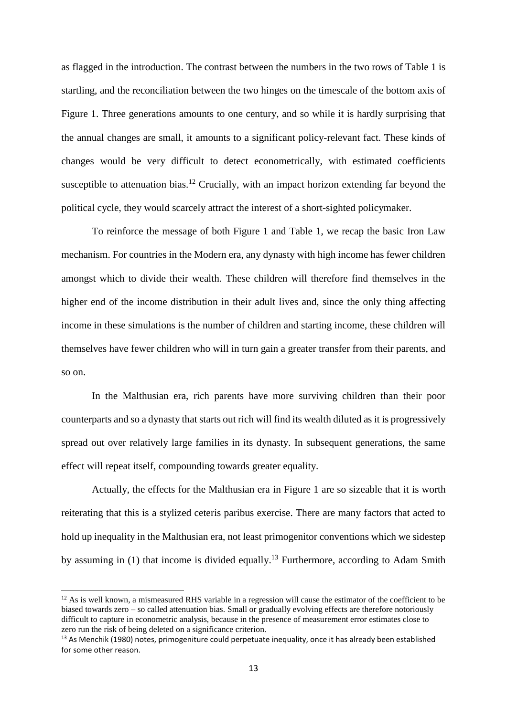as flagged in the introduction. The contrast between the numbers in the two rows of Table 1 is startling, and the reconciliation between the two hinges on the timescale of the bottom axis of Figure 1. Three generations amounts to one century, and so while it is hardly surprising that the annual changes are small, it amounts to a significant policy-relevant fact. These kinds of changes would be very difficult to detect econometrically, with estimated coefficients susceptible to attenuation bias.<sup>12</sup> Crucially, with an impact horizon extending far beyond the political cycle, they would scarcely attract the interest of a short-sighted policymaker.

To reinforce the message of both Figure 1 and Table 1, we recap the basic Iron Law mechanism. For countries in the Modern era, any dynasty with high income has fewer children amongst which to divide their wealth. These children will therefore find themselves in the higher end of the income distribution in their adult lives and, since the only thing affecting income in these simulations is the number of children and starting income, these children will themselves have fewer children who will in turn gain a greater transfer from their parents, and so on.

In the Malthusian era, rich parents have more surviving children than their poor counterparts and so a dynasty that starts out rich will find its wealth diluted as it is progressively spread out over relatively large families in its dynasty. In subsequent generations, the same effect will repeat itself, compounding towards greater equality.

Actually, the effects for the Malthusian era in Figure 1 are so sizeable that it is worth reiterating that this is a stylized ceteris paribus exercise. There are many factors that acted to hold up inequality in the Malthusian era, not least primogenitor conventions which we sidestep by assuming in  $(1)$  that income is divided equally.<sup>13</sup> Furthermore, according to Adam Smith

<sup>&</sup>lt;sup>12</sup> As is well known, a mismeasured RHS variable in a regression will cause the estimator of the coefficient to be biased towards zero – so called attenuation bias. Small or gradually evolving effects are therefore notoriously difficult to capture in econometric analysis, because in the presence of measurement error estimates close to zero run the risk of being deleted on a significance criterion.

<sup>&</sup>lt;sup>13</sup> As Menchik (1980) notes, primogeniture could perpetuate inequality, once it has already been established for some other reason.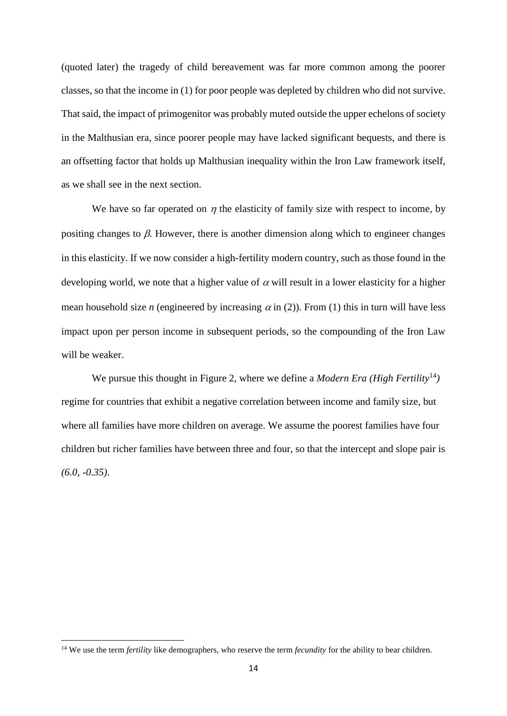(quoted later) the tragedy of child bereavement was far more common among the poorer classes, so that the income in (1) for poor people was depleted by children who did not survive. That said, the impact of primogenitor was probably muted outside the upper echelons of society in the Malthusian era, since poorer people may have lacked significant bequests, and there is an offsetting factor that holds up Malthusian inequality within the Iron Law framework itself, as we shall see in the next section.

We have so far operated on  $\eta$  the elasticity of family size with respect to income, by positing changes to  $\beta$ . However, there is another dimension along which to engineer changes in this elasticity. If we now consider a high-fertility modern country, such as those found in the developing world, we note that a higher value of  $\alpha$  will result in a lower elasticity for a higher mean household size *n* (engineered by increasing  $\alpha$  in (2)). From (1) this in turn will have less impact upon per person income in subsequent periods, so the compounding of the Iron Law will be weaker.

We pursue this thought in Figure 2, where we define a *Modern Era* (High Fertility<sup>14</sup>) regime for countries that exhibit a negative correlation between income and family size, but where all families have more children on average. We assume the poorest families have four children but richer families have between three and four, so that the intercept and slope pair is *(6.0, -0.35)*.

<sup>&</sup>lt;sup>14</sup> We use the term *fertility* like demographers, who reserve the term *fecundity* for the ability to bear children.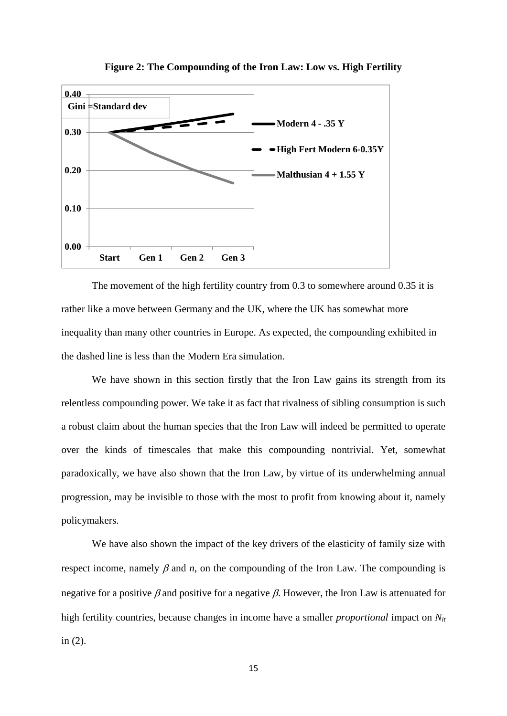

**Figure 2: The Compounding of the Iron Law: Low vs. High Fertility**

The movement of the high fertility country from 0.3 to somewhere around 0.35 it is rather like a move between Germany and the UK, where the UK has somewhat more inequality than many other countries in Europe. As expected, the compounding exhibited in the dashed line is less than the Modern Era simulation.

We have shown in this section firstly that the Iron Law gains its strength from its relentless compounding power. We take it as fact that rivalness of sibling consumption is such a robust claim about the human species that the Iron Law will indeed be permitted to operate over the kinds of timescales that make this compounding nontrivial. Yet, somewhat paradoxically, we have also shown that the Iron Law, by virtue of its underwhelming annual progression, may be invisible to those with the most to profit from knowing about it, namely policymakers.

We have also shown the impact of the key drivers of the elasticity of family size with respect income, namely  $\beta$  and  $n$ , on the compounding of the Iron Law. The compounding is negative for a positive  $\beta$  and positive for a negative  $\beta$ . However, the Iron Law is attenuated for high fertility countries, because changes in income have a smaller *proportional* impact on *Nit* in (2).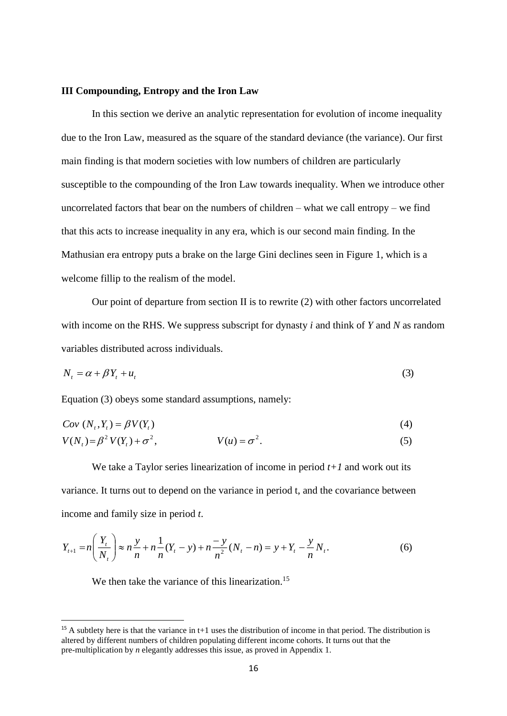#### **III Compounding, Entropy and the Iron Law**

In this section we derive an analytic representation for evolution of income inequality due to the Iron Law, measured as the square of the standard deviance (the variance). Our first main finding is that modern societies with low numbers of children are particularly susceptible to the compounding of the Iron Law towards inequality. When we introduce other uncorrelated factors that bear on the numbers of children – what we call entropy – we find that this acts to increase inequality in any era, which is our second main finding. In the Mathusian era entropy puts a brake on the large Gini declines seen in Figure 1, which is a welcome fillip to the realism of the model.

Our point of departure from section II is to rewrite (2) with other factors uncorrelated with income on the RHS. We suppress subscript for dynasty *i* and think of *Y* and *N* as random variables distributed across individuals.

$$
N_t = \alpha + \beta Y_t + u_t \tag{3}
$$

Equation (3) obeys some standard assumptions, namely:

$$
Cov\left(N_t, Y_t\right) = \beta V(Y_t) \tag{4}
$$

$$
V(Nt) = \beta2 V(Yt) + \sigma2,
$$
 
$$
V(u) = \sigma2.
$$
 (5)

We take a Taylor series linearization of income in period *t+1* and work out its variance. It turns out to depend on the variance in period t, and the covariance between income and family size in period *t*.

$$
Y_{t+1} = n\left(\frac{Y_t}{N_t}\right) \approx n\frac{y}{n} + n\frac{1}{n}(Y_t - y) + n\frac{y}{n^2}(N_t - n) = y + Y_t - \frac{y}{n}N_t.
$$
 (6)

We then take the variance of this linearization.<sup>15</sup>

<sup>&</sup>lt;sup>15</sup> A subtlety here is that the variance in t+1 uses the distribution of income in that period. The distribution is altered by different numbers of children populating different income cohorts. It turns out that the pre-multiplication by *n* elegantly addresses this issue, as proved in Appendix 1.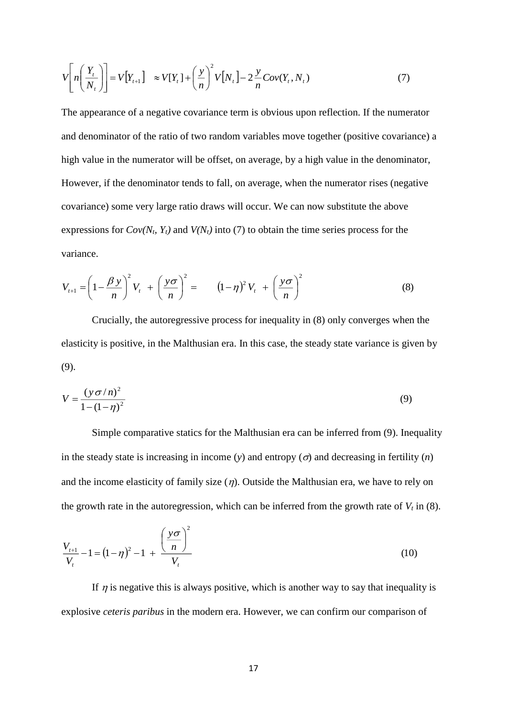$$
V\left[n\left(\frac{Y_t}{N_t}\right)\right] = V\left[Y_{t+1}\right] \approx V[Y_t] + \left(\frac{y}{n}\right)^2 V\left[N_t\right] - 2\frac{y}{n}Cov(Y_t, N_t) \tag{7}
$$

The appearance of a negative covariance term is obvious upon reflection. If the numerator and denominator of the ratio of two random variables move together (positive covariance) a high value in the numerator will be offset, on average, by a high value in the denominator, However, if the denominator tends to fall, on average, when the numerator rises (negative covariance) some very large ratio draws will occur. We can now substitute the above expressions for  $Cov(N_t, Y_t)$  and  $V(N_t)$  into (7) to obtain the time series process for the variance.

$$
V_{t+1} = \left(1 - \frac{\beta y}{n}\right)^2 V_t + \left(\frac{y\sigma}{n}\right)^2 = \left(1 - \eta\right)^2 V_t + \left(\frac{y\sigma}{n}\right)^2 \tag{8}
$$

Crucially, the autoregressive process for inequality in (8) only converges when the elasticity is positive, in the Malthusian era. In this case, the steady state variance is given by (9).

$$
V = \frac{(y \sigma/n)^2}{1 - (1 - \eta)^2}
$$
 (9)

Simple comparative statics for the Malthusian era can be inferred from (9). Inequality in the steady state is increasing in income (*y*) and entropy ( $\sigma$ ) and decreasing in fertility (*n*) and the income elasticity of family size  $(\eta)$ . Outside the Malthusian era, we have to rely on the growth rate in the autoregression, which can be inferred from the growth rate of  $V_t$  in (8).

$$
\frac{V_{t+1}}{V_t} - 1 = (1 - \eta)^2 - 1 + \frac{\left(\frac{y\sigma}{n}\right)^2}{V_t}
$$
\n(10)

If  $\eta$  is negative this is always positive, which is another way to say that inequality is explosive *ceteris paribus* in the modern era. However, we can confirm our comparison of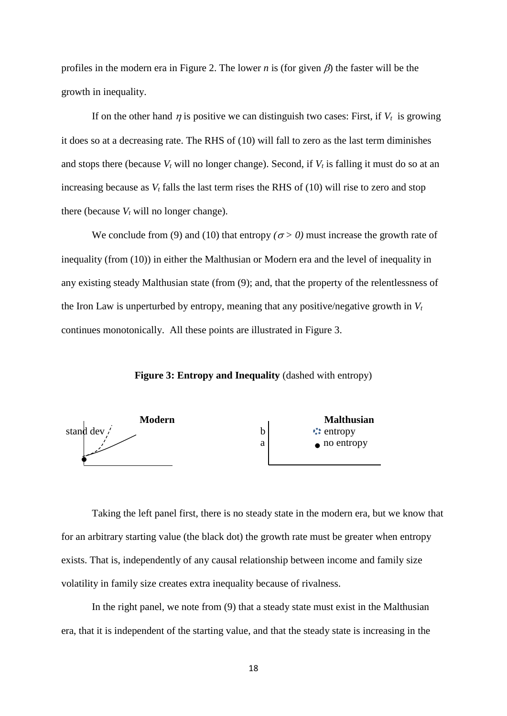profiles in the modern era in Figure 2. The lower *n* is (for given  $\beta$ ) the faster will be the growth in inequality.

If on the other hand  $\eta$  is positive we can distinguish two cases: First, if  $V_t$  is growing it does so at a decreasing rate. The RHS of (10) will fall to zero as the last term diminishes and stops there (because  $V_t$  will no longer change). Second, if  $V_t$  is falling it must do so at an increasing because as *V<sup>t</sup>* falls the last term rises the RHS of (10) will rise to zero and stop there (because  $V_t$  will no longer change).

We conclude from (9) and (10) that entropy  $(\sigma > 0)$  must increase the growth rate of inequality (from (10)) in either the Malthusian or Modern era and the level of inequality in any existing steady Malthusian state (from (9); and, that the property of the relentlessness of the Iron Law is unperturbed by entropy, meaning that any positive/negative growth in  $V_t$ continues monotonically. All these points are illustrated in Figure 3.

**Figure 3: Entropy and Inequality** (dashed with entropy)



Taking the left panel first, there is no steady state in the modern era, but we know that for an arbitrary starting value (the black dot) the growth rate must be greater when entropy exists. That is, independently of any causal relationship between income and family size volatility in family size creates extra inequality because of rivalness.

In the right panel, we note from (9) that a steady state must exist in the Malthusian era, that it is independent of the starting value, and that the steady state is increasing in the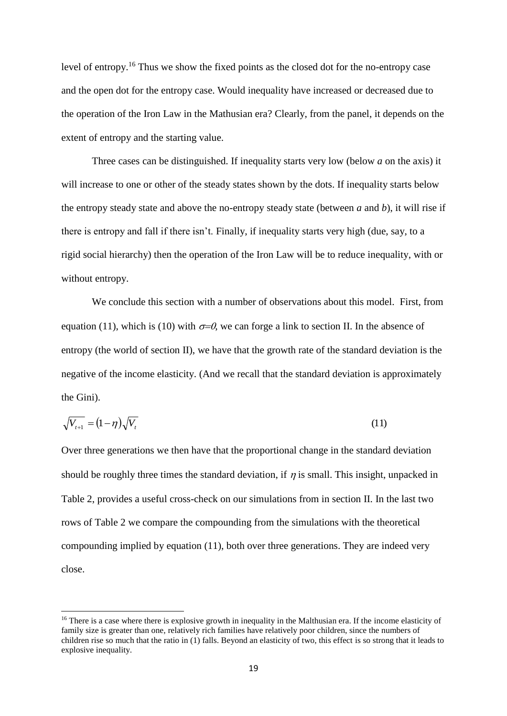level of entropy.<sup>16</sup> Thus we show the fixed points as the closed dot for the no-entropy case and the open dot for the entropy case. Would inequality have increased or decreased due to the operation of the Iron Law in the Mathusian era? Clearly, from the panel, it depends on the extent of entropy and the starting value.

Three cases can be distinguished. If inequality starts very low (below *a* on the axis) it will increase to one or other of the steady states shown by the dots. If inequality starts below the entropy steady state and above the no-entropy steady state (between *a* and *b*), it will rise if there is entropy and fall if there isn't. Finally, if inequality starts very high (due, say, to a rigid social hierarchy) then the operation of the Iron Law will be to reduce inequality, with or without entropy.

We conclude this section with a number of observations about this model. First, from equation (11), which is (10) with  $\sigma = 0$ , we can forge a link to section II. In the absence of entropy (the world of section II), we have that the growth rate of the standard deviation is the negative of the income elasticity. (And we recall that the standard deviation is approximately the Gini).

$$
\sqrt{V_{t+1}} = (1 - \eta)\sqrt{V_t} \tag{11}
$$

Over three generations we then have that the proportional change in the standard deviation should be roughly three times the standard deviation, if  $\eta$  is small. This insight, unpacked in Table 2, provides a useful cross-check on our simulations from in section II. In the last two rows of Table 2 we compare the compounding from the simulations with the theoretical compounding implied by equation (11), both over three generations. They are indeed very close.

<sup>&</sup>lt;sup>16</sup> There is a case where there is explosive growth in inequality in the Malthusian era. If the income elasticity of family size is greater than one, relatively rich families have relatively poor children, since the numbers of children rise so much that the ratio in (1) falls. Beyond an elasticity of two, this effect is so strong that it leads to explosive inequality.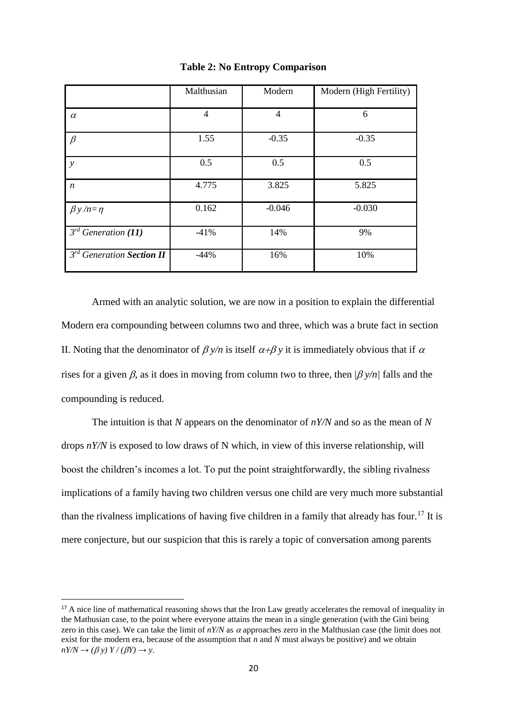|                             | Malthusian     | Modern   | Modern (High Fertility) |
|-----------------------------|----------------|----------|-------------------------|
| $\alpha$                    | $\overline{4}$ | 4        | 6                       |
| $\beta$                     | 1.55           | $-0.35$  | $-0.35$                 |
| $\mathcal{Y}$               | 0.5            | 0.5      | 0.5                     |
| $\boldsymbol{n}$            | 4.775          | 3.825    | 5.825                   |
| $\beta y/n = \eta$          | 0.162          | $-0.046$ | $-0.030$                |
| $3^{rd}$ Generation (11)    | $-41%$         | 14%      | 9%                      |
| $3rd$ Generation Section II | $-44%$         | 16%      | 10%                     |

#### **Table 2: No Entropy Comparison**

Armed with an analytic solution, we are now in a position to explain the differential Modern era compounding between columns two and three, which was a brute fact in section II. Noting that the denominator of  $\beta y/n$  is itself  $\alpha+\beta y$  it is immediately obvious that if  $\alpha$ rises for a given  $\beta$ , as it does in moving from column two to three, then  $\beta y/n$  falls and the compounding is reduced.

The intuition is that *N* appears on the denominator of *nY/N* and so as the mean of *N* drops *nY/N* is exposed to low draws of N which, in view of this inverse relationship, will boost the children's incomes a lot. To put the point straightforwardly, the sibling rivalness implications of a family having two children versus one child are very much more substantial than the rivalness implications of having five children in a family that already has four.<sup>17</sup> It is mere conjecture, but our suspicion that this is rarely a topic of conversation among parents

<sup>&</sup>lt;sup>17</sup> A nice line of mathematical reasoning shows that the Iron Law greatly accelerates the removal of inequality in the Mathusian case, to the point where everyone attains the mean in a single generation (with the Gini being zero in this case). We can take the limit of  $nY/N$  as  $\alpha$  approaches zero in the Malthusian case (the limit does not exist for the modern era, because of the assumption that *n* and *N* must always be positive) and we obtain  $nY/N \rightarrow (\beta y) Y/(\beta Y) \rightarrow y$ .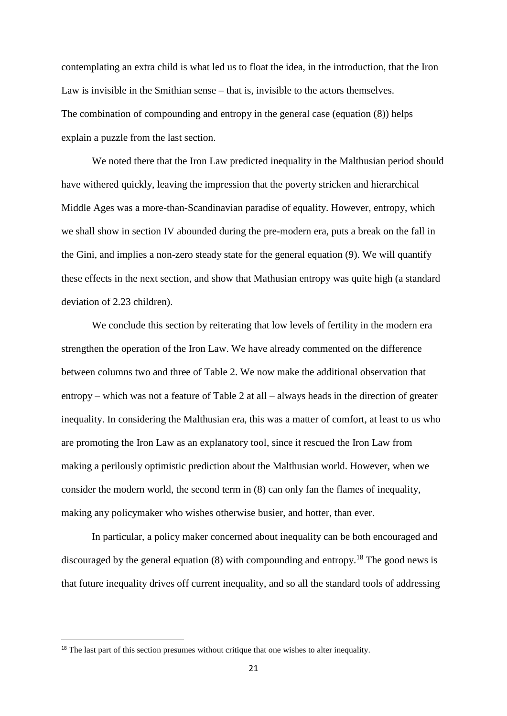contemplating an extra child is what led us to float the idea, in the introduction, that the Iron Law is invisible in the Smithian sense – that is, invisible to the actors themselves. The combination of compounding and entropy in the general case (equation (8)) helps explain a puzzle from the last section.

We noted there that the Iron Law predicted inequality in the Malthusian period should have withered quickly, leaving the impression that the poverty stricken and hierarchical Middle Ages was a more-than-Scandinavian paradise of equality. However, entropy, which we shall show in section IV abounded during the pre-modern era, puts a break on the fall in the Gini, and implies a non-zero steady state for the general equation (9). We will quantify these effects in the next section, and show that Mathusian entropy was quite high (a standard deviation of 2.23 children).

We conclude this section by reiterating that low levels of fertility in the modern era strengthen the operation of the Iron Law. We have already commented on the difference between columns two and three of Table 2. We now make the additional observation that entropy – which was not a feature of Table 2 at all – always heads in the direction of greater inequality. In considering the Malthusian era, this was a matter of comfort, at least to us who are promoting the Iron Law as an explanatory tool, since it rescued the Iron Law from making a perilously optimistic prediction about the Malthusian world. However, when we consider the modern world, the second term in (8) can only fan the flames of inequality, making any policymaker who wishes otherwise busier, and hotter, than ever.

In particular, a policy maker concerned about inequality can be both encouraged and discouraged by the general equation  $(8)$  with compounding and entropy.<sup>18</sup> The good news is that future inequality drives off current inequality, and so all the standard tools of addressing

<sup>&</sup>lt;sup>18</sup> The last part of this section presumes without critique that one wishes to alter inequality.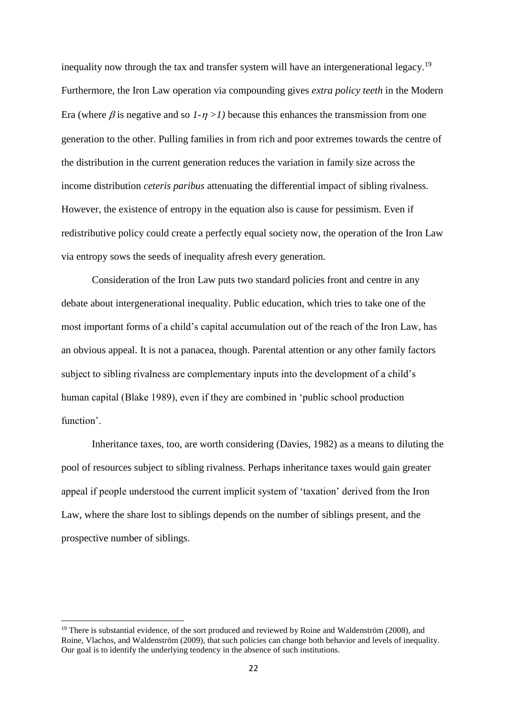inequality now through the tax and transfer system will have an intergenerational legacy.<sup>19</sup> Furthermore, the Iron Law operation via compounding gives *extra policy teeth* in the Modern Era (where  $\beta$  is negative and so  $1-\eta > 1$ ) because this enhances the transmission from one generation to the other. Pulling families in from rich and poor extremes towards the centre of the distribution in the current generation reduces the variation in family size across the income distribution *ceteris paribus* attenuating the differential impact of sibling rivalness. However, the existence of entropy in the equation also is cause for pessimism. Even if redistributive policy could create a perfectly equal society now, the operation of the Iron Law via entropy sows the seeds of inequality afresh every generation.

Consideration of the Iron Law puts two standard policies front and centre in any debate about intergenerational inequality. Public education, which tries to take one of the most important forms of a child's capital accumulation out of the reach of the Iron Law, has an obvious appeal. It is not a panacea, though. Parental attention or any other family factors subject to sibling rivalness are complementary inputs into the development of a child's human capital (Blake 1989), even if they are combined in 'public school production function'.

Inheritance taxes, too, are worth considering (Davies, 1982) as a means to diluting the pool of resources subject to sibling rivalness. Perhaps inheritance taxes would gain greater appeal if people understood the current implicit system of 'taxation' derived from the Iron Law, where the share lost to siblings depends on the number of siblings present, and the prospective number of siblings.

 $\overline{a}$ 

<sup>&</sup>lt;sup>19</sup> There is substantial evidence, of the sort produced and reviewed by Roine and Waldenström (2008), and Roine, Vlachos, and Waldenström (2009), that such policies can change both behavior and levels of inequality. Our goal is to identify the underlying tendency in the absence of such institutions.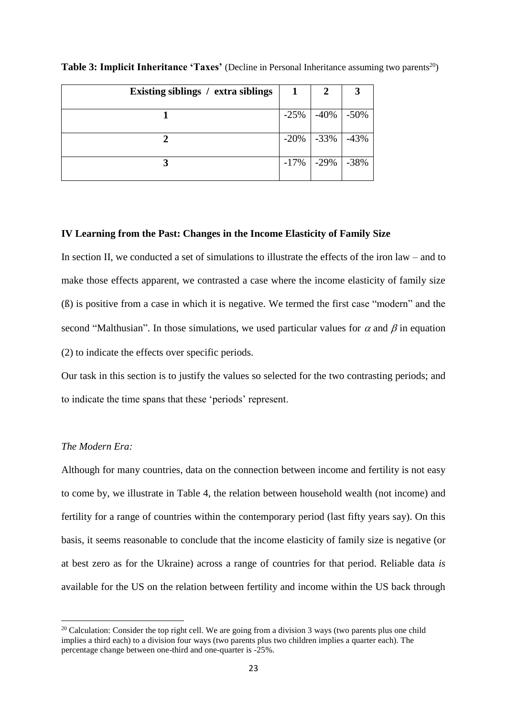| Existing siblings / extra siblings | 1       | 2                       |        |
|------------------------------------|---------|-------------------------|--------|
|                                    | $-25%$  | -40%                    | $-50%$ |
|                                    |         | $-20\%$ $-33\%$ $-43\%$ |        |
|                                    | $-17\%$ | $-29\%$                 | $-38%$ |

**Table 3: Implicit Inheritance 'Taxes'** (Decline in Personal Inheritance assuming two parents<sup>20</sup>)

#### **IV Learning from the Past: Changes in the Income Elasticity of Family Size**

In section II, we conducted a set of simulations to illustrate the effects of the iron law – and to make those effects apparent, we contrasted a case where the income elasticity of family size (ß) is positive from a case in which it is negative. We termed the first case "modern" and the second "Malthusian". In those simulations, we used particular values for  $\alpha$  and  $\beta$  in equation (2) to indicate the effects over specific periods.

Our task in this section is to justify the values so selected for the two contrasting periods; and to indicate the time spans that these 'periods' represent.

### *The Modern Era:*

 $\overline{a}$ 

Although for many countries, data on the connection between income and fertility is not easy to come by, we illustrate in Table 4, the relation between household wealth (not income) and fertility for a range of countries within the contemporary period (last fifty years say). On this basis, it seems reasonable to conclude that the income elasticity of family size is negative (or at best zero as for the Ukraine) across a range of countries for that period. Reliable data *is* available for the US on the relation between fertility and income within the US back through

<sup>&</sup>lt;sup>20</sup> Calculation: Consider the top right cell. We are going from a division 3 ways (two parents plus one child implies a third each) to a division four ways (two parents plus two children implies a quarter each). The percentage change between one-third and one-quarter is -25%.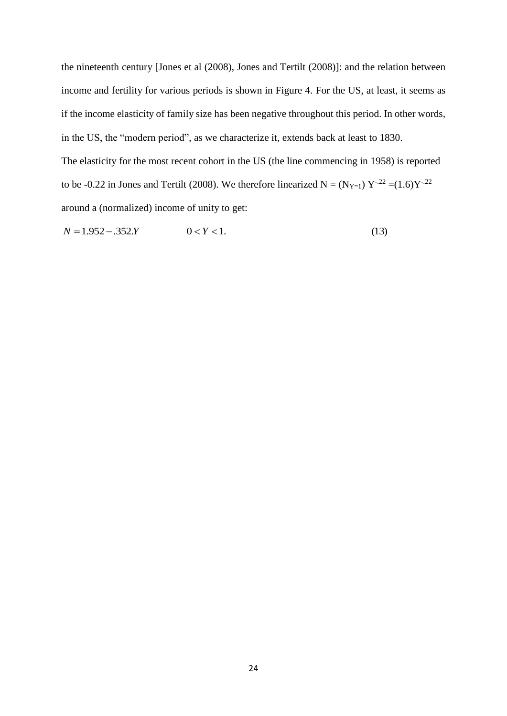the nineteenth century [Jones et al (2008), Jones and Tertilt (2008)]: and the relation between income and fertility for various periods is shown in Figure 4. For the US, at least, it seems as if the income elasticity of family size has been negative throughout this period. In other words, in the US, the "modern period", as we characterize it, extends back at least to 1830. The elasticity for the most recent cohort in the US (the line commencing in 1958) is reported to be -0.22 in Jones and Tertilt (2008). We therefore linearized  $N = (N_{Y=1}) Y^{-22} = (1.6)Y^{-22}$ around a (normalized) income of unity to get:

 $N = 1.952 - .352.Y$   $0 < Y < 1.$  (13)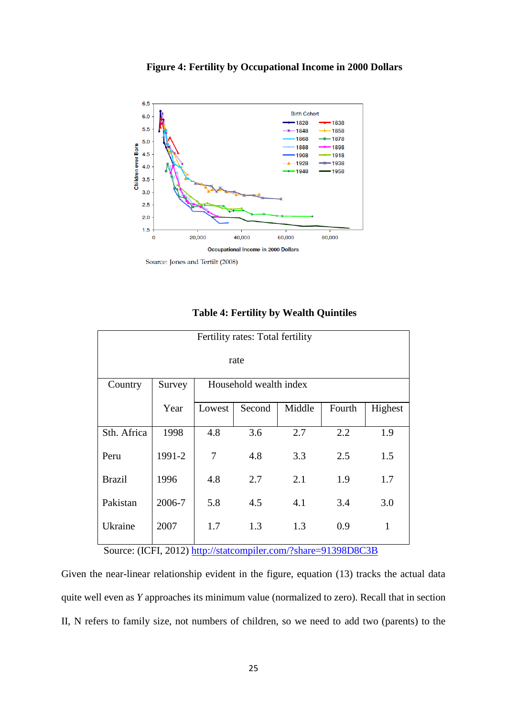



| Fertility rates: Total fertility |                                  |        |        |        |        |              |
|----------------------------------|----------------------------------|--------|--------|--------|--------|--------------|
|                                  |                                  |        |        |        |        |              |
| rate                             |                                  |        |        |        |        |              |
| Country                          | Household wealth index<br>Survey |        |        |        |        |              |
|                                  | Year                             | Lowest | Second | Middle | Fourth | Highest      |
| Sth. Africa                      | 1998                             | 4.8    | 3.6    | 2.7    | 2.2    | 1.9          |
| Peru                             | 1991-2                           | 7      | 4.8    | 3.3    | 2.5    | 1.5          |
| <b>Brazil</b>                    | 1996                             | 4.8    | 2.7    | 2.1    | 1.9    | 1.7          |
| Pakistan                         | 2006-7                           | 5.8    | 4.5    | 4.1    | 3.4    | 3.0          |
| Ukraine                          | 2007                             | 1.7    | 1.3    | 1.3    | 0.9    | $\mathbf{1}$ |
|                                  |                                  |        |        |        |        |              |

## **Table 4: Fertility by Wealth Quintiles**

Source: (ICFI, 2012) [http://statcompiler.com/?share=91398D8C3B](https://webmail.adsroot.uts.edu.au/owa/redir.aspx?C=PvXhT6-Se0-H-lZvaz7rntpByhugeNBI9FZWsdH8yv9wULx_q7V-OxW6yFdGYhN9Bq3KQKSYwyQ.&URL=http%3a%2f%2fstatcompiler.com%2f%3fshare%3d91398D8C3B)

Given the near-linear relationship evident in the figure, equation (13) tracks the actual data quite well even as *Y* approaches its minimum value (normalized to zero). Recall that in section II, N refers to family size, not numbers of children, so we need to add two (parents) to the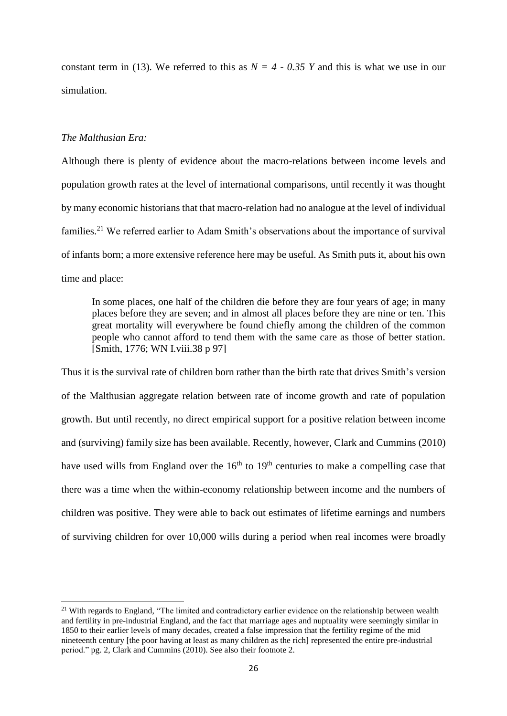constant term in (13). We referred to this as  $N = 4 - 0.35$  *Y* and this is what we use in our simulation.

## *The Malthusian Era:*

**.** 

Although there is plenty of evidence about the macro-relations between income levels and population growth rates at the level of international comparisons, until recently it was thought by many economic historians that that macro-relation had no analogue at the level of individual families.<sup>21</sup> We referred earlier to Adam Smith's observations about the importance of survival of infants born; a more extensive reference here may be useful. As Smith puts it, about his own time and place:

In some places, one half of the children die before they are four years of age; in many places before they are seven; and in almost all places before they are nine or ten. This great mortality will everywhere be found chiefly among the children of the common people who cannot afford to tend them with the same care as those of better station. [Smith, 1776; WN I.viii.38 p 97]

Thus it is the survival rate of children born rather than the birth rate that drives Smith's version of the Malthusian aggregate relation between rate of income growth and rate of population growth. But until recently, no direct empirical support for a positive relation between income and (surviving) family size has been available. Recently, however, Clark and Cummins (2010) have used wills from England over the  $16<sup>th</sup>$  to  $19<sup>th</sup>$  centuries to make a compelling case that there was a time when the within-economy relationship between income and the numbers of children was positive. They were able to back out estimates of lifetime earnings and numbers of surviving children for over 10,000 wills during a period when real incomes were broadly

<sup>&</sup>lt;sup>21</sup> With regards to England, "The limited and contradictory earlier evidence on the relationship between wealth and fertility in pre-industrial England, and the fact that marriage ages and nuptuality were seemingly similar in 1850 to their earlier levels of many decades, created a false impression that the fertility regime of the mid nineteenth century [the poor having at least as many children as the rich] represented the entire pre-industrial period." pg. 2, Clark and Cummins (2010). See also their footnote 2.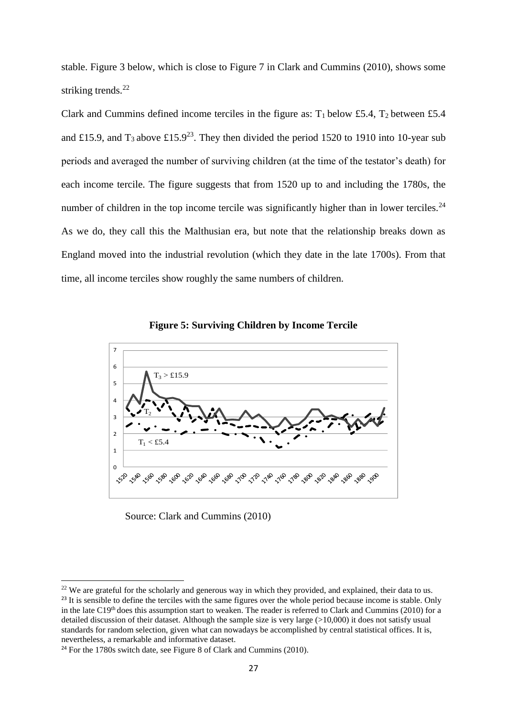stable. Figure 3 below, which is close to Figure 7 in Clark and Cummins (2010), shows some striking trends.<sup>22</sup>

Clark and Cummins defined income terciles in the figure as:  $T_1$  below £5.4,  $T_2$  between £5.4 and £15.9, and  $T_3$  above £15.9<sup>23</sup>. They then divided the period 1520 to 1910 into 10-year sub periods and averaged the number of surviving children (at the time of the testator's death) for each income tercile. The figure suggests that from 1520 up to and including the 1780s, the number of children in the top income tercile was significantly higher than in lower terciles.<sup>24</sup> As we do, they call this the Malthusian era, but note that the relationship breaks down as England moved into the industrial revolution (which they date in the late 1700s). From that time, all income terciles show roughly the same numbers of children.



**Figure 5: Surviving Children by Income Tercile**

Source: Clark and Cummins (2010)

<sup>&</sup>lt;sup>22</sup> We are grateful for the scholarly and generous way in which they provided, and explained, their data to us. <sup>23</sup> It is sensible to define the terciles with the same figures over the whole period because income is stable. Only in the late C19th does this assumption start to weaken. The reader is referred to Clark and Cummins (2010) for a detailed discussion of their dataset. Although the sample size is very large  $(>10,000)$  it does not satisfy usual standards for random selection, given what can nowadays be accomplished by central statistical offices. It is, nevertheless, a remarkable and informative dataset.

<sup>&</sup>lt;sup>24</sup> For the 1780s switch date, see Figure 8 of Clark and Cummins (2010).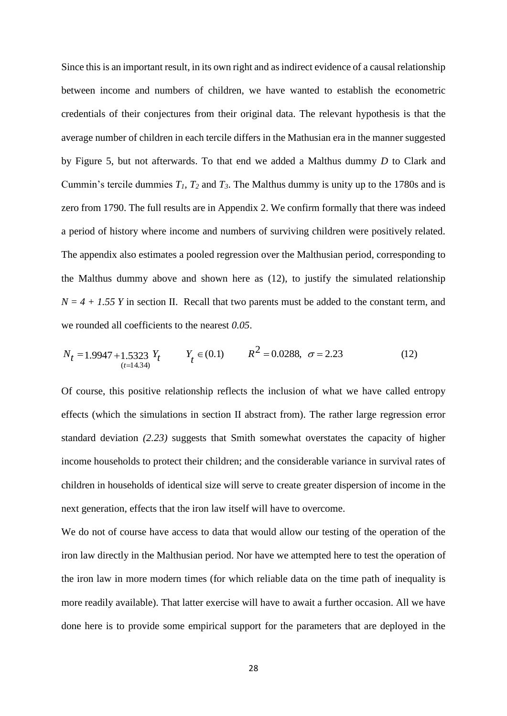Since this is an important result, in its own right and as indirect evidence of a causal relationship between income and numbers of children, we have wanted to establish the econometric credentials of their conjectures from their original data. The relevant hypothesis is that the average number of children in each tercile differs in the Mathusian era in the manner suggested by Figure 5, but not afterwards. To that end we added a Malthus dummy *D* to Clark and Cummin's tercile dummies  $T_1$ ,  $T_2$  and  $T_3$ . The Malthus dummy is unity up to the 1780s and is zero from 1790. The full results are in Appendix 2. We confirm formally that there was indeed a period of history where income and numbers of surviving children were positively related. The appendix also estimates a pooled regression over the Malthusian period, corresponding to the Malthus dummy above and shown here as (12), to justify the simulated relationship  $N = 4 + 1.55$  *Y* in section II. Recall that two parents must be added to the constant term, and we rounded all coefficients to the nearest *0.05*.

$$
N_t = 1.9947 + 1.5323 Y_t \t Y_t \in (0.1) \t R^2 = 0.0288, \ \sigma = 2.23 \t (12)
$$

Of course, this positive relationship reflects the inclusion of what we have called entropy effects (which the simulations in section II abstract from). The rather large regression error standard deviation *(2.23)* suggests that Smith somewhat overstates the capacity of higher income households to protect their children; and the considerable variance in survival rates of children in households of identical size will serve to create greater dispersion of income in the next generation, effects that the iron law itself will have to overcome.

We do not of course have access to data that would allow our testing of the operation of the iron law directly in the Malthusian period. Nor have we attempted here to test the operation of the iron law in more modern times (for which reliable data on the time path of inequality is more readily available). That latter exercise will have to await a further occasion. All we have done here is to provide some empirical support for the parameters that are deployed in the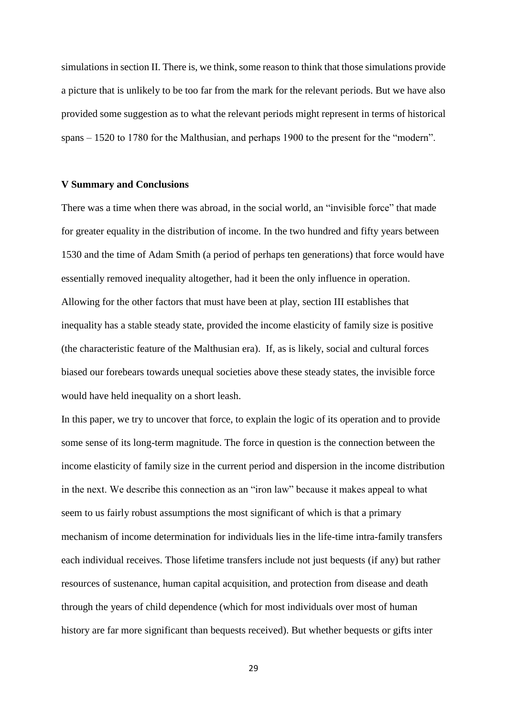simulations in section II. There is, we think, some reason to think that those simulations provide a picture that is unlikely to be too far from the mark for the relevant periods. But we have also provided some suggestion as to what the relevant periods might represent in terms of historical spans – 1520 to 1780 for the Malthusian, and perhaps 1900 to the present for the "modern".

## **V Summary and Conclusions**

There was a time when there was abroad, in the social world, an "invisible force" that made for greater equality in the distribution of income. In the two hundred and fifty years between 1530 and the time of Adam Smith (a period of perhaps ten generations) that force would have essentially removed inequality altogether, had it been the only influence in operation. Allowing for the other factors that must have been at play, section III establishes that inequality has a stable steady state, provided the income elasticity of family size is positive (the characteristic feature of the Malthusian era). If, as is likely, social and cultural forces biased our forebears towards unequal societies above these steady states, the invisible force would have held inequality on a short leash.

In this paper, we try to uncover that force, to explain the logic of its operation and to provide some sense of its long-term magnitude. The force in question is the connection between the income elasticity of family size in the current period and dispersion in the income distribution in the next. We describe this connection as an "iron law" because it makes appeal to what seem to us fairly robust assumptions the most significant of which is that a primary mechanism of income determination for individuals lies in the life-time intra-family transfers each individual receives. Those lifetime transfers include not just bequests (if any) but rather resources of sustenance, human capital acquisition, and protection from disease and death through the years of child dependence (which for most individuals over most of human history are far more significant than bequests received). But whether bequests or gifts inter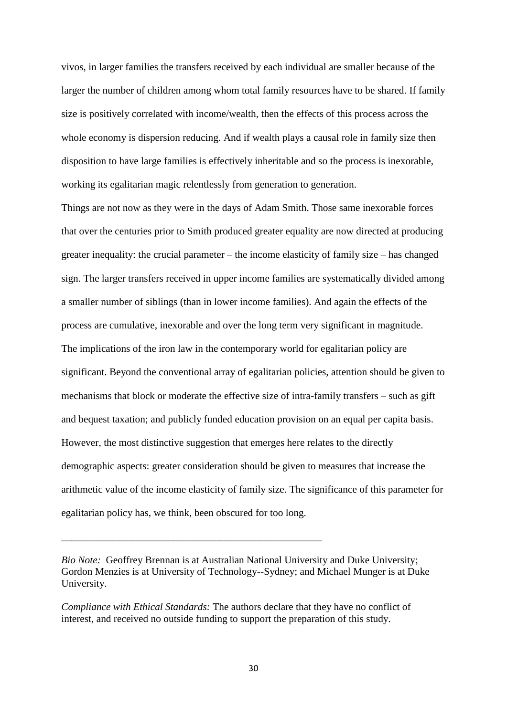vivos, in larger families the transfers received by each individual are smaller because of the larger the number of children among whom total family resources have to be shared. If family size is positively correlated with income/wealth, then the effects of this process across the whole economy is dispersion reducing. And if wealth plays a causal role in family size then disposition to have large families is effectively inheritable and so the process is inexorable, working its egalitarian magic relentlessly from generation to generation.

Things are not now as they were in the days of Adam Smith. Those same inexorable forces that over the centuries prior to Smith produced greater equality are now directed at producing greater inequality: the crucial parameter – the income elasticity of family size – has changed sign. The larger transfers received in upper income families are systematically divided among a smaller number of siblings (than in lower income families). And again the effects of the process are cumulative, inexorable and over the long term very significant in magnitude. The implications of the iron law in the contemporary world for egalitarian policy are significant. Beyond the conventional array of egalitarian policies, attention should be given to mechanisms that block or moderate the effective size of intra-family transfers – such as gift and bequest taxation; and publicly funded education provision on an equal per capita basis. However, the most distinctive suggestion that emerges here relates to the directly demographic aspects: greater consideration should be given to measures that increase the arithmetic value of the income elasticity of family size. The significance of this parameter for egalitarian policy has, we think, been obscured for too long.

*Compliance with Ethical Standards:* The authors declare that they have no conflict of interest, and received no outside funding to support the preparation of this study.

*\_\_\_\_\_\_\_\_\_\_\_\_\_\_\_\_\_\_\_\_\_\_\_\_\_\_\_\_\_\_\_\_\_\_\_\_\_\_\_\_\_\_\_\_\_\_\_\_\_\_\_*

*Bio Note:* Geoffrey Brennan is at Australian National University and Duke University; Gordon Menzies is at University of Technology--Sydney; and Michael Munger is at Duke University.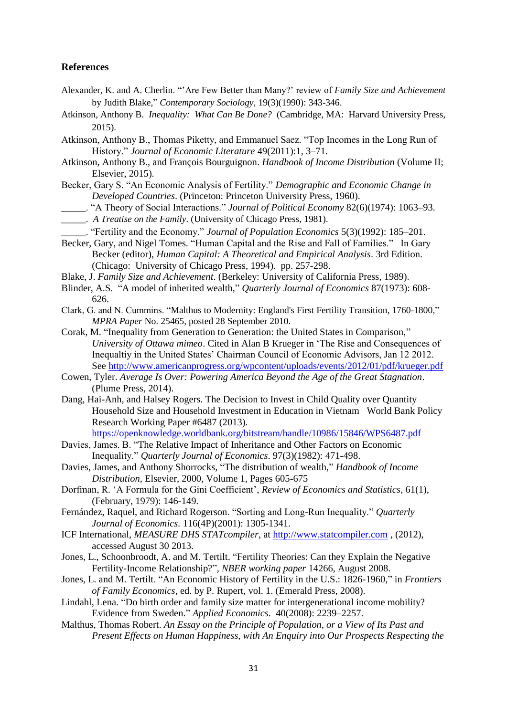## **References**

- Alexander, K. and A. Cherlin. "'Are Few Better than Many?' review of *Family Size and Achievement* by Judith Blake," *Contemporary Sociology*, 19(3)(1990): 343-346.
- Atkinson, Anthony B. *Inequality: What Can Be Done?* (Cambridge, MA: Harvard University Press, 2015).
- Atkinson, Anthony B., Thomas Piketty, and Emmanuel Saez. "Top Incomes in the Long Run of History." *Journal of Economic Literature* 49(2011):1, 3–71.
- Atkinson, Anthony B., and François Bourguignon. *Handbook of Income Distribution* (Volume II; Elsevier, 2015).
- Becker, Gary S. "An Economic Analysis of Fertility." *Demographic and Economic Change in Developed Countries*. (Princeton: Princeton University Press, 1960).
- \_\_\_\_\_. "A Theory of Social Interactions." *Journal of Political Economy* 82(6)(1974): 1063–93.

\_\_\_\_\_. *A Treatise on the Family.* (University of Chicago Press, 1981).

- \_\_\_\_\_. "Fertility and the Economy." *Journal of Population Economics* 5(3)(1992): 185–201.
- Becker, Gary, and Nigel Tomes. "Human Capital and the Rise and Fall of Families." In Gary Becker (editor), *Human Capital: A Theoretical and Empirical Analysis*. 3rd Edition. (Chicago: University of Chicago Press, 1994). pp. 257-298.
- Blake, J. *Family Size and Achievement*. (Berkeley: University of California Press, 1989).
- Blinder, A.S. "A model of inherited wealth," *Quarterly Journal of Economics* 87(1973): 608- 626.
- Clark, G. and N. Cummins. "Malthus to Modernity: England's First Fertility Transition, 1760-1800," *MPRA Paper* No. 25465, posted 28 September 2010.
- Corak, M. "Inequality from Generation to Generation: the United States in Comparison," *University of Ottawa mimeo*. Cited in Alan B Krueger in 'The Rise and Consequences of Inequaltiy in the United States' Chairman Council of Economic Advisors, Jan 12 2012. See<http://www.americanprogress.org/wpcontent/uploads/events/2012/01/pdf/krueger.pdf>
- Cowen, Tyler. *Average Is Over: Powering America Beyond the Age of the Great Stagnation*. (Plume Press, 2014).
- Dang, Hai-Anh, and Halsey Rogers. The Decision to Invest in Child Quality over Quantity Household Size and Household Investment in Education in Vietnam World Bank Policy Research Working Paper #6487 (2013).

<https://openknowledge.worldbank.org/bitstream/handle/10986/15846/WPS6487.pdf>

- Davies, James. B. "The Relative Impact of Inheritance and Other Factors on Economic Inequality." *Quarterly Journal of Economics*. 97(3)(1982): 471-498.
- Davies, James, and Anthony Shorrocks, "The distribution of wealth," *Handbook of Income Distribution*, Elsevier, 2000, Volume 1, Pages 605-675
- Dorfman, R. 'A Formula for the Gini Coefficient', *Review of Economics and Statistics*, 61(1), (February, 1979): 146-149.
- Fernández, Raquel, and Richard Rogerson. "Sorting and Long-Run Inequality." *Quarterly Journal of Economics.* 116(4P)(2001): 1305-1341.
- ICF International, *MEASURE DHS STATcompiler*, at [http://www.statcompiler.com](http://www.statcompiler.com/) , (2012), accessed August 30 2013.
- Jones, L., Schoonbroodt, A. and M. Tertilt. "Fertility Theories: Can they Explain the Negative Fertility-Income Relationship?", *NBER working paper* 14266, August 2008.
- Jones, L. and M. Tertilt. "An Economic History of Fertility in the U.S.: 1826-1960," in *Frontiers of Family Economics*, ed. by P. Rupert, vol. 1. (Emerald Press, 2008).
- Lindahl, Lena. "Do birth order and family size matter for intergenerational income mobility? Evidence from Sweden." *Applied Economics*. 40(2008): 2239–2257.
- Malthus, Thomas Robert. *An Essay on the Principle of Population, or a View of Its Past and Present Effects on Human Happiness, with An Enquiry into Our Prospects Respecting the*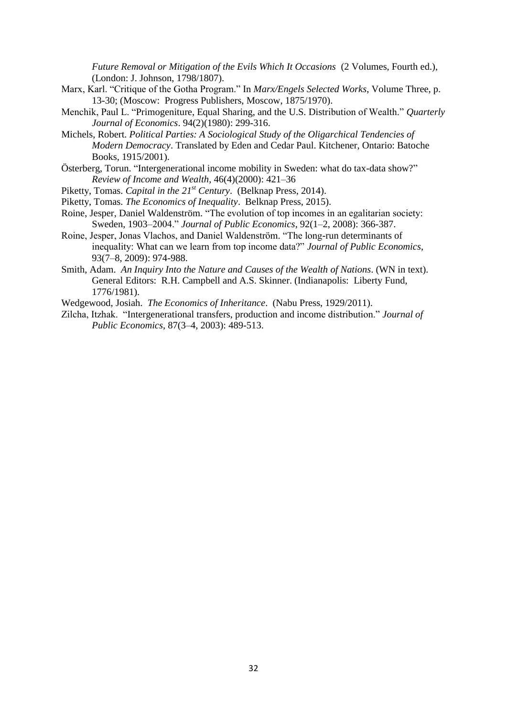*Future Removal or Mitigation of the Evils Which It Occasions* (2 Volumes, Fourth ed.), (London: J. Johnson, 1798/1807).

- Marx, Karl. "Critique of the Gotha Program." In *Marx/Engels Selected Works*, Volume Three, p. 13-30; (Moscow: Progress Publishers, Moscow, 1875/1970).
- Menchik, Paul L. "Primogeniture, Equal Sharing, and the U.S. Distribution of Wealth." *Quarterly Journal of Economics*. 94(2)(1980): 299-316.
- Michels, Robert. *Political Parties: A Sociological Study of the Oligarchical Tendencies of Modern Democracy*. Translated by Eden and Cedar Paul. Kitchener, Ontario: Batoche Books, 1915/2001).
- Österberg, Torun. "Intergenerational income mobility in Sweden: what do tax-data show?" *Review of Income and Wealth*, 46(4)(2000): 421–36
- Piketty, Tomas. *Capital in the 21st Century*. (Belknap Press, 2014).
- Piketty, Tomas. *The Economics of Inequality*. Belknap Press, 2015).
- Roine, Jesper, Daniel Waldenström. "The evolution of top incomes in an egalitarian society: Sweden, 1903–2004." *Journal of Public Economics*, 92(1–2, 2008): 366-387.
- Roine, Jesper, Jonas Vlachos, and Daniel Waldenström. "The long-run determinants of inequality: What can we learn from top income data?" *Journal of Public Economics*, 93(7–8, 2009): 974-988.
- Smith, Adam. *An Inquiry Into the Nature and Causes of the Wealth of Nations*. (WN in text). General Editors: R.H. Campbell and A.S. Skinner. (Indianapolis: Liberty Fund, 1776/1981).
- Wedgewood, Josiah. *The Economics of Inheritance*. (Nabu Press, 1929/2011).
- Zilcha, Itzhak. "Intergenerational transfers, production and income distribution." *Journal of Public Economics*, 87(3–4, 2003): 489-513.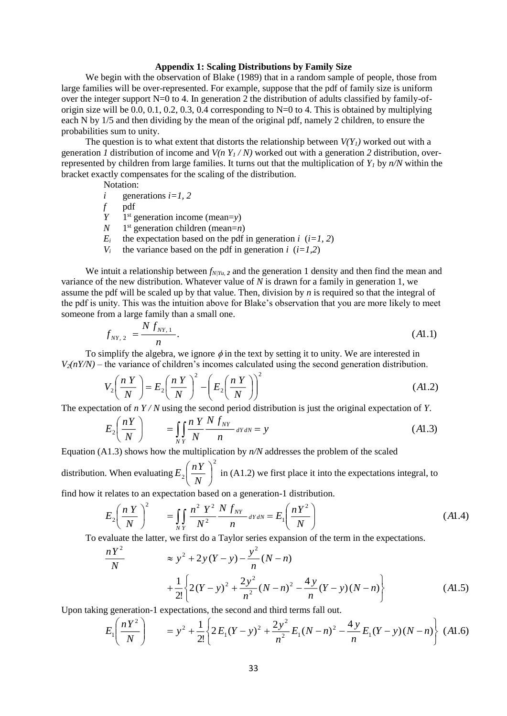#### **Appendix 1: Scaling Distributions by Family Size**

We begin with the observation of Blake (1989) that in a random sample of people, those from large families will be over-represented. For example, suppose that the pdf of family size is uniform over the integer support N=0 to 4. In generation 2 the distribution of adults classified by family-oforigin size will be 0.0, 0.1, 0.2, 0.3, 0.4 corresponding to  $N=0$  to 4. This is obtained by multiplying each N by 1/5 and then dividing by the mean of the original pdf, namely 2 children, to ensure the probabilities sum to unity.

The question is to what extent that distorts the relationship between  $V(Y<sub>l</sub>)$  worked out with a generation *1* distribution of income and  $V(n Y_1 / N)$  worked out with a generation 2 distribution, overrepresented by children from large families. It turns out that the multiplication of  $Y<sub>I</sub>$  by  $n/N$  within the bracket exactly compensates for the scaling of the distribution.

Notation:

*i* generations 
$$
i=1, 2
$$

*f* pdf

$$
Y
$$
 1<sup>st</sup> generation income (mean=y)

- $N$  $1<sup>st</sup>$  generation children (mean=*n*)
- $E_i$  the expectation based on the pdf in generation *i* (*i*=1, 2)
- *V<sub>i</sub>* the variance based on the pdf in generation *i* ( $i=1,2$ )

We intuit a relationship between  $f_{N/Y_1}$  *z* and the generation 1 density and then find the mean and variance of the new distribution. Whatever value of *N* is drawn for a family in generation 1, we assume the pdf will be scaled up by that value. Then, division by *n* is required so that the integral of the pdf is unity. This was the intuition above for Blake's observation that you are more likely to meet someone from a large family than a small one.

$$
f_{NY,2} = \frac{N f_{NY,1}}{n}.
$$
\n(A1.1)

To simplify the algebra, we ignore  $\phi$  in the text by setting it to unity. We are interested in  $V_2(nY/N)$  – the variance of children's incomes calculated using the second generation distribution.

$$
V_2\left(\frac{nY}{N}\right) = E_2\left(\frac{nY}{N}\right)^2 - \left(E_2\left(\frac{nY}{N}\right)\right)^2\tag{A1.2}
$$

The expectation of *n Y / N* using the second period distribution is just the original expectation of *Y*.

$$
E_2\left(\frac{nY}{N}\right) \qquad = \iint_{NY} \frac{nY}{N} \frac{N f_{NY}}{n} dY dN = y \tag{A1.3}
$$

Equation (A1.3) shows how the multiplication by *n/N* addresses the problem of the scaled

distribution. When evaluating 2  $\frac{n}{\lambda}$ J  $\left(\frac{nY}{N}\right)$  $\setminus$ ſ *N*  $E_2\left(\frac{nY}{N}\right)^2$  in (A1.2) we first place it into the expectations integral, to

find how it relates to an expectation based on a generation-1 distribution.

$$
E_2 \left( \frac{n Y}{N} \right)^2 = \iint_{N} \frac{n^2 Y^2 N f_{N} f_{N}}{N^2 n} dY dN = E_1 \left( \frac{n Y^2}{N} \right)
$$
(A1.4)

To evaluate the latter, we first do a Taylor series expansion of the term in the expectations.

$$
\frac{nY^2}{N} \approx y^2 + 2y(Y - y) - \frac{y^2}{n}(N - n)
$$
  
+ 
$$
\frac{1}{2!} \left\{ 2(Y - y)^2 + \frac{2y^2}{n^2}(N - n)^2 - \frac{4y}{n}(Y - y)(N - n) \right\}
$$
(A1.5)

Upon taking generation-1 expectations, the second and third terms fall out.

$$
E_1\left(\frac{nY^2}{N}\right) = y^2 + \frac{1}{2!} \left\{ 2E_1(Y-y)^2 + \frac{2y^2}{n^2} E_1(N-n)^2 - \frac{4y}{n} E_1(Y-y)(N-n) \right\} (A1.6)
$$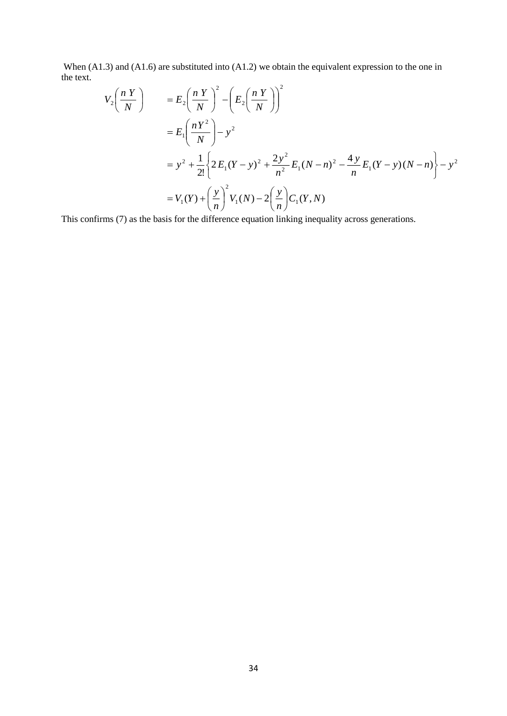When (A1.3) and (A1.6) are substituted into (A1.2) we obtain the equivalent expression to the one in the text.

$$
V_2\left(\frac{n Y}{N}\right) = E_2\left(\frac{n Y}{N}\right)^2 - \left(E_2\left(\frac{n Y}{N}\right)\right)^2
$$
  
=  $E_1\left(\frac{n Y^2}{N}\right) - y^2$   
=  $y^2 + \frac{1}{2!} \left\{2 E_1 (Y - y)^2 + \frac{2y^2}{n^2} E_1 (N - n)^2 - \frac{4y}{n} E_1 (Y - y)(N - n)\right\} - y^2$   
=  $V_1(Y) + \left(\frac{y}{n}\right)^2 V_1(N) - 2\left(\frac{y}{n}\right) C_1(Y, N)$ 

This confirms (7) as the basis for the difference equation linking inequality across generations.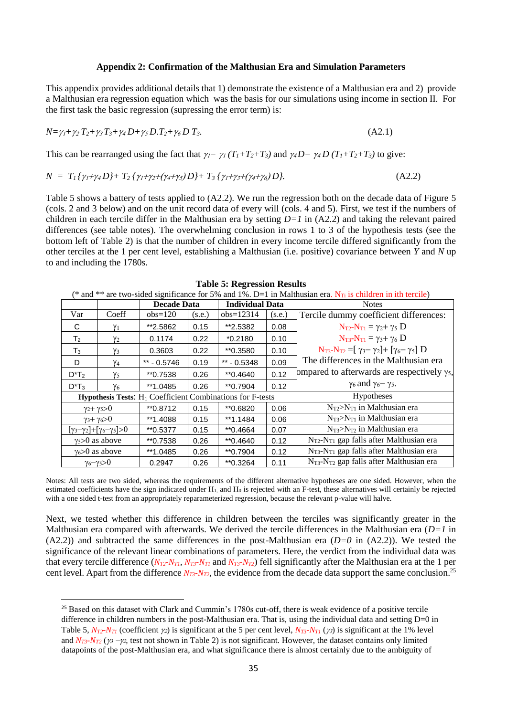#### **Appendix 2: Confirmation of the Malthusian Era and Simulation Parameters**

This appendix provides additional details that 1) demonstrate the existence of a Malthusian era and 2) provide a Malthusian era regression equation which was the basis for our simulations using income in section II. For the first task the basic regression (supressing the error term) is:

$$
N = \gamma_1 + \gamma_2 T_2 + \gamma_3 T_3 + \gamma_4 D + \gamma_5 D \cdot T_2 + \gamma_6 D \cdot T_3. \tag{A2.1}
$$

This can be rearranged using the fact that  $\gamma_1 = \gamma_1 (T_1 + T_2 + T_3)$  and  $\gamma_4 D = \gamma_4 D (T_1 + T_2 + T_3)$  to give:

$$
N = T_1 \{ \gamma_1 + \gamma_4 D \} + T_2 \{ \gamma_1 + \gamma_2 + (\gamma_4 + \gamma_5) D \} + T_3 \{ \gamma_1 + \gamma_3 + (\gamma_4 + \gamma_6) D \}. \tag{A2.2}
$$

Table 5 shows a battery of tests applied to (A2.2). We run the regression both on the decade data of Figure 5 (cols. 2 and 3 below) and on the unit record data of every will (cols. 4 and 5). First, we test if the numbers of children in each tercile differ in the Malthusian era by setting *D=1* in (A2.2) and taking the relevant paired differences (see table notes). The overwhelming conclusion in rows 1 to 3 of the hypothesis tests (see the bottom left of Table 2) is that the number of children in every income tercile differed significantly from the other terciles at the 1 per cent level, establishing a Malthusian (i.e. positive) covariance between *Y* and *N* up to and including the 1780s.

| (* and ** are two-sided significance for 5% and 1%. D=1 in Malthusian era. $N_{Ti}$ is children in ith tercile) |                           |                    |        |                        |        |                                                          |  |
|-----------------------------------------------------------------------------------------------------------------|---------------------------|--------------------|--------|------------------------|--------|----------------------------------------------------------|--|
|                                                                                                                 |                           | <b>Decade Data</b> |        | <b>Individual Data</b> |        | <b>Notes</b>                                             |  |
| Var                                                                                                             | Coeff                     | $obs=120$          | (s.e.) | $obs=12314$            | (s.e.) | Tercile dummy coefficient differences:                   |  |
| C                                                                                                               | $\gamma_1$                | **2.5862           | 0.15   | **2.5382               | 0.08   | $N_{T2}-N_{T1} = \gamma_2 + \gamma_5 D$                  |  |
| T <sub>2</sub>                                                                                                  | $\gamma_2$                | 0.1174             | 0.22   | $*0.2180$              | 0.10   | $N_{T3}-N_{T1} = \gamma_3 + \gamma_6 D$                  |  |
| $T_3$                                                                                                           | $\gamma_3$                | 0.3603             | 0.22   | **0.3580               | 0.10   | $N_{T3}-N_{T2}=[\gamma_3-\gamma_2]+[\gamma_6-\gamma_5]D$ |  |
| D                                                                                                               | $\gamma_4$                | $** - 0.5746$      | 0.19   | ** $- 0.5348$          | 0.09   | The differences in the Malthusian era                    |  |
| $D^*T_2$                                                                                                        | $\gamma_5$                | **0.7538           | 0.26   | $*$ 0.4640             | 0.12   | ompared to afterwards are respectively $\gamma_5$ ,      |  |
| $D^*T_3$                                                                                                        | $\gamma_6$                | **1.0485           | 0.26   | **0.7904               | 0.12   | $\gamma_6$ and $\gamma_6$ – $\gamma_5$ .                 |  |
| <b>Hypothesis Tests:</b> H <sub>1</sub> Coefficient Combinations for F-tests                                    |                           |                    |        | Hypotheses             |        |                                                          |  |
|                                                                                                                 | $\gamma_2 + \gamma_5 > 0$ | **0.8712           | 0.15   | **0.6820               | 0.06   | $N_{T2} > N_{T1}$ in Malthusian era                      |  |
|                                                                                                                 | $\gamma_3 + \gamma_6 > 0$ | **1.4088           | 0.15   | **1.1484               | 0.06   | $N_{T3} > N_{T1}$ in Malthusian era                      |  |
| $[\gamma_3-\gamma_2]+[\gamma_6-\gamma_5]>0$                                                                     |                           | **0.5377           | 0.15   | **0.4664               | 0.07   | $N_{T3} > N_{T2}$ in Malthusian era                      |  |
|                                                                                                                 | $\gamma_5 > 0$ as above   | **0.7538           | 0.26   | $*$ 0.4640             | 0.12   | $N_{T2}$ - $N_{T1}$ gap falls after Malthusian era       |  |
| $\gamma_6 > 0$ as above                                                                                         |                           | **1.0485           | 0.26   | **0.7904               | 0.12   | $N_{T3}$ - $N_{T1}$ gap falls after Malthusian era       |  |
|                                                                                                                 | $\gamma_6-\gamma_5>0$     | 0.2947             | 0.26   | **0.3264               | 0.11   | $N_{T3}$ - $N_{T2}$ gap falls after Malthusian era       |  |

**Table 5: Regression Results**

Notes: All tests are two sided, whereas the requirements of the different alternative hypotheses are one sided. However, when the estimated coefficients have the sign indicated under  $H_1$ , and  $H_0$  is rejected with an F-test, these alternatives will certainly be rejected with a one sided t-test from an appropriately reparameterized regression, because the relevant p-value will halve.

Next, we tested whether this difference in children between the terciles was significantly greater in the Malthusian era compared with afterwards. We derived the tercile differences in the Malthusian era (*D=1* in (A2.2)) and subtracted the same differences in the post-Malthusian era (*D=0* in (A2.2)). We tested the significance of the relevant linear combinations of parameters. Here, the verdict from the individual data was that every tercile difference  $(N_{T2}N_{T1}, N_{T3}N_{T1}$  and  $N_{T3}N_{T2}$  fell significantly after the Malthusian era at the 1 per cent level. Apart from the difference *NT3-NT2*, the evidence from the decade data support the same conclusion. 25

<sup>&</sup>lt;sup>25</sup> Based on this dataset with Clark and Cummin's 1780s cut-off, there is weak evidence of a positive tercile difference in children numbers in the post-Malthusian era. That is, using the individual data and setting D=0 in Table 5,  $N_{T2}$ - $N_{T1}$  (coefficient  $\gamma_2$ ) is significant at the 5 per cent level,  $N_{T3}$ - $N_{T1}$  ( $\gamma_3$ ) is significant at the 1% level and  $N_{T3}$ - $N_{T2}$  ( $\gamma_2$  - $\gamma_2$ , test not shown in Table 2) is not significant. However, the dataset contains only limited datapoints of the post-Malthusian era, and what significance there is almost certainly due to the ambiguity of